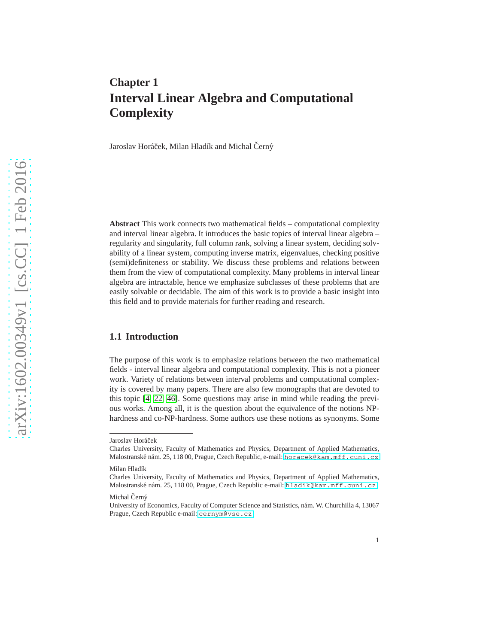Jaroslav Horáček, Milan Hladík and Michal Černý

**Abstract** This work connects two mathematical fields – computational complexity and interval linear algebra. It introduces the basic topics of interval linear algebra – regularity and singularity, full column rank, solving a linear system, deciding solvability of a linear system, computing inverse matrix, eigenvalues, checking positive (semi)definiteness or stability. We discuss these problems and relations between them from the view of computational complexity. Many problems in interval linear algebra are intractable, hence we emphasize subclasses of these problems that are easily solvable or decidable. The aim of this work is to provide a basic insight into this field and to provide materials for further reading and research.

### **1.1 Introduction**

The purpose of this work is to emphasize relations between the two mathematical fields - interval linear algebra and computational complexity. This is not a pioneer work. Variety of relations between interval problems and computational complexity is covered by many papers. There are also few monographs that are devoted to this topic [\[4,](#page-27-0) [22,](#page-28-0) [46\]](#page-29-0). Some questions may arise in mind while reading the previous works. Among all, it is the question about the equivalence of the notions NPhardness and co-NP-hardness. Some authors use these notions as synonyms. Some

Jaroslav Horáček

Charles University, Faculty of Mathematics and Physics, Department of Applied Mathematics, Malostranské nám. 25, 118 00, Prague, Czech Republic, e-mail: <horacek@kam.mff.cuni.cz>

Milan Hladík

Charles University, Faculty of Mathematics and Physics, Department of Applied Mathematics, Malostranské nám. 25, 118 00, Prague, Czech Republic e-mail: <hladik@kam.mff.cuni.cz>

Michal Černý

University of Economics, Faculty of Computer Science and Statistics, nám. W. Churchilla 4, 13067 Prague, Czech Republic e-mail: <cernym@vse.cz>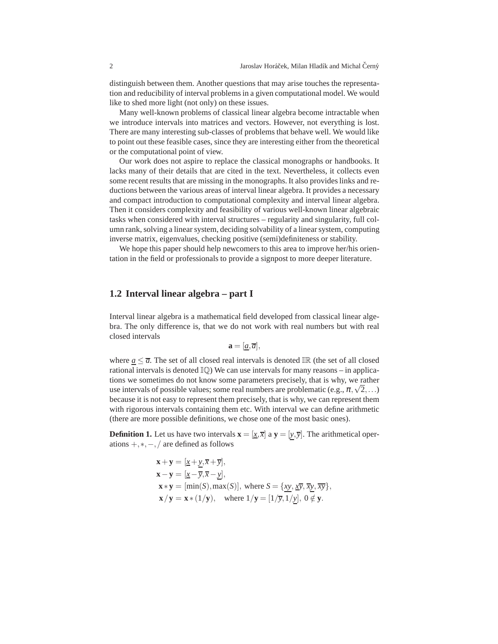distinguish between them. Another questions that may arise touches the representation and reducibility of interval problems in a given computational model. We would like to shed more light (not only) on these issues.

Many well-known problems of classical linear algebra become intractable when we introduce intervals into matrices and vectors. However, not everything is lost. There are many interesting sub-classes of problems that behave well. We would like to point out these feasible cases, since they are interesting either from the theoretical or the computational point of view.

Our work does not aspire to replace the classical monographs or handbooks. It lacks many of their details that are cited in the text. Nevertheless, it collects even some recent results that are missing in the monographs. It also provides links and reductions between the various areas of interval linear algebra. It provides a necessary and compact introduction to computational complexity and interval linear algebra. Then it considers complexity and feasibility of various well-known linear algebraic tasks when considered with interval structures – regularity and singularity, full column rank, solving a linear system, deciding solvability of a linear system, computing inverse matrix, eigenvalues, checking positive (semi)definiteness or stability.

We hope this paper should help newcomers to this area to improve her/his orientation in the field or professionals to provide a signpost to more deeper literature.

### **1.2 Interval linear algebra – part I**

Interval linear algebra is a mathematical field developed from classical linear algebra. The only difference is, that we do not work with real numbers but with real closed intervals

$$
\mathbf{a} = [\underline{a}, \overline{a}],
$$

where  $a \leq \overline{a}$ . The set of all closed real intervals is denoted IR (the set of all closed rational intervals is denoted  $\mathbb{I}(\mathbb{Q})$  We can use intervals for many reasons – in applications we sometimes do not know some parameters precisely, that is why, we rather use intervals of possible values; some real numbers are problematic (e.g.,  $\pi, \sqrt{2}, \ldots$ ) because it is not easy to represent them precisely, that is why, we can represent them with rigorous intervals containing them etc. With interval we can define arithmetic (there are more possible definitions, we chose one of the most basic ones).

**Definition 1.** Let us have two intervals  $\mathbf{x} = [\underline{x}, \overline{x}]$  a  $\mathbf{y} = [y, \overline{y}]$ . The arithmetical operations +,∗,−, / are defined as follows

$$
\mathbf{x} + \mathbf{y} = [\underline{x} + \underline{y}, \overline{x} + \overline{y}],
$$
  
\n
$$
\mathbf{x} - \mathbf{y} = [\underline{x} - \overline{y}, \overline{x} - \underline{y}],
$$
  
\n
$$
\mathbf{x} * \mathbf{y} = [\min(S), \max(S)], \text{ where } S = \{\underline{xy}, \underline{x}\overline{y}, \overline{x}\underline{y}, \overline{x}\overline{y}\},
$$
  
\n
$$
\mathbf{x}/\mathbf{y} = \mathbf{x} * (1/\mathbf{y}), \text{ where } 1/\mathbf{y} = [1/\overline{y}, 1/\underline{y}], 0 \notin \mathbf{y}.
$$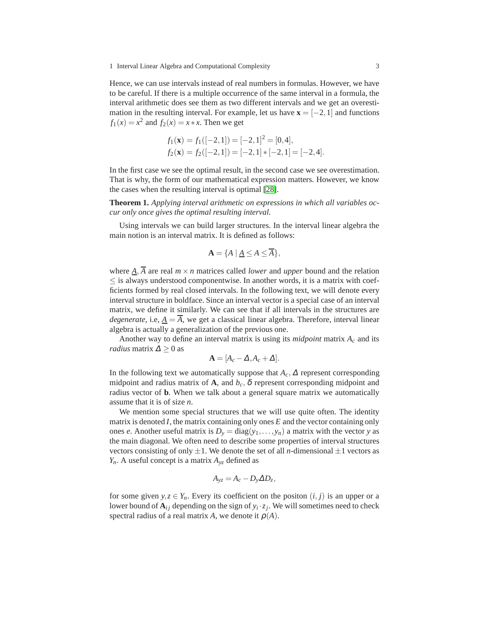Hence, we can use intervals instead of real numbers in formulas. However, we have to be careful. If there is a multiple occurrence of the same interval in a formula, the interval arithmetic does see them as two different intervals and we get an overestimation in the resulting interval. For example, let us have  $\mathbf{x} = [-2, 1]$  and functions *f*<sub>1</sub>(*x*) = *x*<sup>2</sup> and *f*<sub>2</sub>(*x*) = *x* \* *x*. Then we get

$$
f_1(\mathbf{x}) = f_1([-2, 1]) = [-2, 1]^2 = [0, 4],
$$
  
\n
$$
f_2(\mathbf{x}) = f_2([-2, 1]) = [-2, 1] * [-2, 1] = [-2, 4].
$$

In the first case we see the optimal result, in the second case we see overestimation. That is why, the form of our mathematical expression matters. However, we know the cases when the resulting interval is optimal [\[28\]](#page-28-1).

**Theorem 1.** *Applying interval arithmetic on expressions in which all variables occur only once gives the optimal resulting interval.*

Using intervals we can build larger structures. In the interval linear algebra the main notion is an interval matrix. It is defined as follows:

<span id="page-2-0"></span>
$$
\mathbf{A} = \{ A \mid \underline{A} \le A \le \overline{A} \},
$$

where  $\underline{A}$ ,  $\overline{A}$  are real  $m \times n$  matrices called *lower* and *upper* bound and the relation  $\leq$  is always understood componentwise. In another words, it is a matrix with coefficients formed by real closed intervals. In the following text, we will denote every interval structure in boldface. Since an interval vector is a special case of an interval matrix, we define it similarly. We can see that if all intervals in the structures are *degenerate*, i.e,  $A = \overline{A}$ , we get a classical linear algebra. Therefore, interval linear algebra is actually a generalization of the previous one.

Another way to define an interval matrix is using its *midpoint* matrix *A<sup>c</sup>* and its *radius* matrix  $\Delta \geq 0$  as

$$
\mathbf{A} = [A_c - \Delta, A_c + \Delta].
$$

In the following text we automatically suppose that  $A_c$ ,  $\Delta$  represent corresponding midpoint and radius matrix of **A**, and  $b_c$ ,  $\delta$  represent corresponding midpoint and radius vector of **b**. When we talk about a general square matrix we automatically assume that it is of size *n*.

We mention some special structures that we will use quite often. The identity matrix is denoted *I*, the matrix containing only ones *E* and the vector containing only ones *e*. Another useful matrix is  $D_y = \text{diag}(y_1, \ldots, y_n)$  a matrix with the vector *y* as the main diagonal. We often need to describe some properties of interval structures vectors consisting of only  $\pm 1$ . We denote the set of all *n*-dimensional  $\pm 1$  vectors as  $Y_n$ . A useful concept is a matrix  $A_{yz}$  defined as

$$
A_{yz} = A_c - D_y \Delta D_z,
$$

for some given  $y, z \in Y_n$ . Every its coefficient on the positon  $(i, j)$  is an upper or a lower bound of  $A_{ij}$  depending on the sign of  $y_i \cdot z_j$ . We will sometimes need to check spectral radius of a real matrix *A*, we denote it  $\rho(A)$ .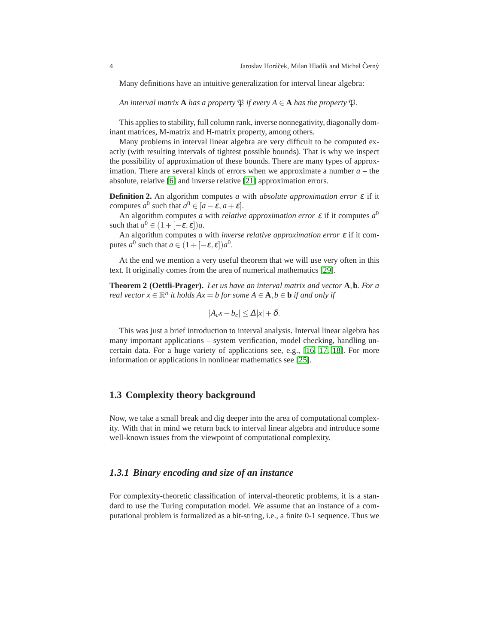Many definitions have an intuitive generalization for interval linear algebra:

*An interval matrix* **A** *has a property*  $\mathfrak{P}$  *if every*  $A \in \mathbf{A}$  *has the property*  $\mathfrak{P}$ *.* 

This applies to stability, full column rank, inverse nonnegativity, diagonally dominant matrices, M-matrix and H-matrix property, among others.

Many problems in interval linear algebra are very difficult to be computed exactly (with resulting intervals of tightest possible bounds). That is why we inspect the possibility of approximation of these bounds. There are many types of approximation. There are several kinds of errors when we approximate a number  $a -$  the absolute, relative [\[6\]](#page-28-2) and inverse relative [\[21\]](#page-28-3) approximation errors.

**Definition 2.** An algorithm computes *a* with *absolute approximation error* <sup>ε</sup> if it computes  $a^0$  such that  $a^0 \in [a - \varepsilon, a + \varepsilon]$ .

An algorithm computes *a* with *relative approximation error*  $\varepsilon$  if it computes  $a^0$ such that  $a^0 \in (1 + [-\varepsilon, \varepsilon])a$ .

An algorithm computes *a* with *inverse relative approximation error* <sup>ε</sup> if it computes  $a^0$  such that  $a \in (1 + [-\varepsilon, \varepsilon])a^0$ .

<span id="page-3-0"></span>At the end we mention a very useful theorem that we will use very often in this text. It originally comes from the area of numerical mathematics [\[29\]](#page-28-4).

**Theorem 2 (Oettli-Prager).** *Let us have an interval matrix and vector* **A**,**b***. For a real vector*  $x \in \mathbb{R}^n$  *it holds*  $Ax = b$  *for some*  $A \in \mathbf{A}$ ,  $b \in \mathbf{b}$  *if and only if* 

$$
|A_c x - b_c| \leq \Delta |x| + \delta.
$$

This was just a brief introduction to interval analysis. Interval linear algebra has many important applications – system verification, model checking, handling uncertain data. For a huge variety of applications see, e.g., [\[16,](#page-28-5) [17,](#page-28-6) [18\]](#page-28-7). For more information or applications in nonlinear mathematics see [\[25\]](#page-28-8).

### **1.3 Complexity theory background**

Now, we take a small break and dig deeper into the area of computational complexity. With that in mind we return back to interval linear algebra and introduce some well-known issues from the viewpoint of computational complexity.

### *1.3.1 Binary encoding and size of an instance*

For complexity-theoretic classification of interval-theoretic problems, it is a standard to use the Turing computation model. We assume that an instance of a computational problem is formalized as a bit-string, i.e., a finite 0-1 sequence. Thus we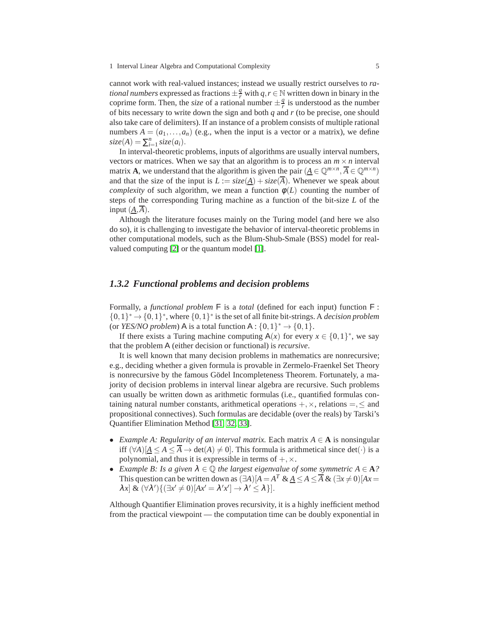cannot work with real-valued instances; instead we usually restrict ourselves to *rational numbers* expressed as fractions  $\pm \frac{q}{r}$  with  $q, r \in \mathbb{N}$  written down in binary in the coprime form. Then, the *size* of a rational number  $\pm \frac{q}{r}$  $\frac{q}{r}$  is understood as the number of bits necessary to write down the sign and both *q* and *r* (to be precise, one should also take care of delimiters). If an instance of a problem consists of multiple rational numbers  $A = (a_1, \ldots, a_n)$  (e.g., when the input is a vector or a matrix), we define  $size(A) = \sum_{i=1}^{n} size(a_i).$ 

In interval-theoretic problems, inputs of algorithms are usually interval numbers, vectors or matrices. When we say that an algorithm is to process an  $m \times n$  interval matrix **A**, we understand that the algorithm is given the pair  $(\underline{A} \in \mathbb{Q}^{m \times n}, \overline{A} \in \mathbb{Q}^{m \times n})$ and that the size of the input is  $L := \text{size}(A) + \text{size}(\overline{A})$ . Whenever we speak about *complexity* of such algorithm, we mean a function  $\phi(L)$  counting the number of steps of the corresponding Turing machine as a function of the bit-size *L* of the input  $(\underline{A}, A)$ .

Although the literature focuses mainly on the Turing model (and here we also do so), it is challenging to investigate the behavior of interval-theoretic problems in other computational models, such as the Blum-Shub-Smale (BSS) model for realvalued computing [\[2\]](#page-27-1) or the quantum model [\[1\]](#page-27-2).

### *1.3.2 Functional problems and decision problems*

Formally, a *functional problem* F is a *total* (defined for each input) function F :  $\{0,1\}^* \to \{0,1\}^*$ , where  $\{0,1\}^*$  is the set of all finite bit-strings. A *decision problem* (or *YES/NO problem*) A is a total function  $A: \{0,1\}^* \to \{0,1\}.$ 

If there exists a Turing machine computing  $A(x)$  for every  $x \in \{0,1\}^*$ , we say that the problem A (either decision or functional) is *recursive*.

It is well known that many decision problems in mathematics are nonrecursive; e.g., deciding whether a given formula is provable in Zermelo-Fraenkel Set Theory is nonrecursive by the famous Gödel Incompleteness Theorem. Fortunately, a majority of decision problems in interval linear algebra are recursive. Such problems can usually be written down as arithmetic formulas (i.e., quantified formulas containing natural number constants, arithmetical operations  $+$ ,  $\times$ , relations  $=$ ,  $\leq$  and propositional connectives). Such formulas are decidable (over the reals) by Tarski's Quantifier Elimination Method [\[31,](#page-29-1) [32,](#page-29-2) [33\]](#page-29-3).

- *Example A: Regularity of an interval matrix.* Each matrix  $A \in \mathbf{A}$  is nonsingular iff  $(\forall A)[\underline{A} \leq A \leq \overline{A} \rightarrow det(A) \neq 0]$ . This formula is arithmetical since det(·) is a polynomial, and thus it is expressible in terms of  $+$ ,  $\times$ .
- *Example B: Is a given*  $\lambda \in \mathbb{Q}$  *the largest eigenvalue of some symmetric*  $A \in \mathbf{A}$ *?* This question can be written down as  $(\exists A)[A = A^T \& \underline{A} \le A \le \overline{A} \& (\exists x \ne 0)[Ax = A^T \& \underline{A} \le A \le \overline{A}]$  $\lambda x$ ] &  $(\forall \lambda')\{(\exists x'\neq 0)[Ax' = \lambda'x'] \rightarrow \lambda' \leq \lambda\}$ ].

Although Quantifier Elimination proves recursivity, it is a highly inefficient method from the practical viewpoint — the computation time can be doubly exponential in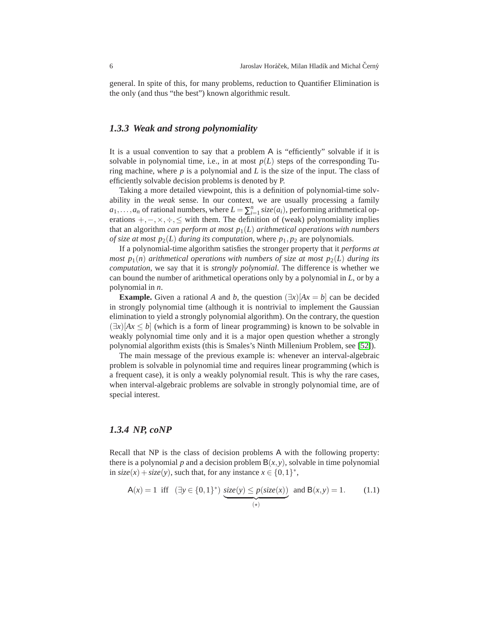general. In spite of this, for many problems, reduction to Quantifier Elimination is the only (and thus "the best") known algorithmic result.

### *1.3.3 Weak and strong polynomiality*

It is a usual convention to say that a problem A is "efficiently" solvable if it is solvable in polynomial time, i.e., in at most  $p(L)$  steps of the corresponding Turing machine, where  $p$  is a polynomial and  $L$  is the size of the input. The class of efficiently solvable decision problems is denoted by P.

Taking a more detailed viewpoint, this is a definition of polynomial-time solvability in the *weak* sense. In our context, we are usually processing a family  $a_1, \ldots, a_n$  of rational numbers, where  $L = \sum_{i=1}^n size(a_i)$ , performing arithmetical operations  $+,-, \times, \div, \leq$  with them. The definition of (weak) polynomiality implies that an algorithm *can perform at most*  $p_1(L)$  *arithmetical operations with numbers of size at most*  $p_2(L)$  *during its computation, where*  $p_1, p_2$  *are polynomials.* 

If a polynomial-time algorithm satisfies the stronger property that it *performs at most*  $p_1(n)$  *arithmetical operations with numbers of size at most*  $p_2(L)$  *during its computation*, we say that it is *strongly polynomial*. The difference is whether we can bound the number of arithmetical operations only by a polynomial in *L*, or by a polynomial in *n*.

**Example.** Given a rational *A* and *b*, the question  $(\exists x)[Ax = b]$  can be decided in strongly polynomial time (although it is nontrivial to implement the Gaussian elimination to yield a strongly polynomial algorithm). On the contrary, the question  $(\exists x)[Ax \leq b]$  (which is a form of linear programming) is known to be solvable in weakly polynomial time only and it is a major open question whether a strongly polynomial algorithm exists (this is Smales's Ninth Millenium Problem, see [\[52\]](#page-29-4)).

The main message of the previous example is: whenever an interval-algebraic problem is solvable in polynomial time and requires linear programming (which is a frequent case), it is only a weakly polynomial result. This is why the rare cases, when interval-algebraic problems are solvable in strongly polynomial time, are of special interest.

### <span id="page-5-1"></span>*1.3.4 NP, coNP*

Recall that NP is the class of decision problems A with the following property: there is a polynomial  $p$  and a decision problem  $B(x, y)$ , solvable in time polynomial in  $size(x) + size(y)$ , such that, for any instance  $x \in \{0, 1\}^*$ ,

<span id="page-5-0"></span>
$$
A(x) = 1 \text{ iff } (\exists y \in \{0, 1\}^*) \underbrace{size(y) \le p(size(x))}_{(*)} \text{ and } B(x, y) = 1. \tag{1.1}
$$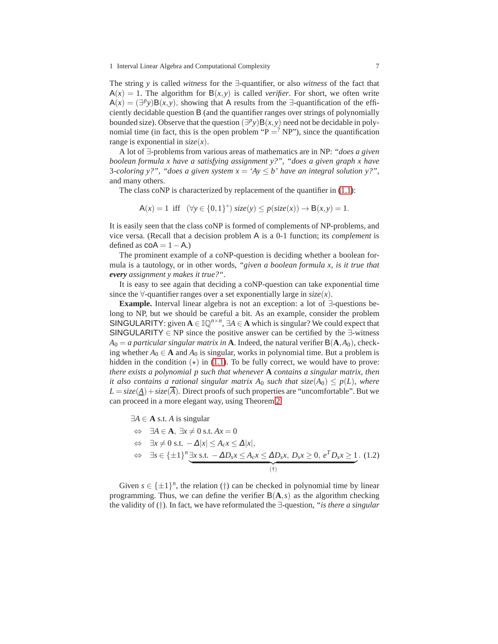The string *y* is called *witness* for the ∃-quantifier, or also *witness* of the fact that  $A(x) = 1$ . The algorithm for  $B(x, y)$  is called *verifier*. For short, we often write  $A(x) = (\exists^p y) B(x, y)$ , showing that A results from the  $\exists$ -quantification of the efficiently decidable question B (and the quantifier ranges over strings of polynomially bounded size). Observe that the question  $(\exists^p y) \mathbf{B}(x, y)$  need not be decidable in polynomial time (in fact, this is the open problem " $P = ? NP$ "), since the quantification range is exponential in *size*(*x*).

A lot of ∃-problems from various areas of mathematics are in NP: *"does a given boolean formula x have a satisfying assignment y?"*, *"does a given graph x have* 3*-coloring y?"*, *"does a given system*  $x = 'Ay \le b'$  *have an integral solution y?"*, and many others.

The class coNP is characterized by replacement of the quantifier in  $(1.1)$ :

 $A(x) = 1$  iff  $(\forall y \in \{0, 1\}^*)$   $size(y) \leq p(size(x)) \rightarrow B(x, y) = 1.$ 

It is easily seen that the class coNP is formed of complements of NP-problems, and vice versa. (Recall that a decision problem A is a 0-1 function; its *complement* is defined as  $\text{coA} = 1 - \text{A}$ .)

The prominent example of a coNP-question is deciding whether a boolean formula is a tautology, or in other words, *"given a boolean formula x, is it true that every assignment y makes it true?"*.

It is easy to see again that deciding a coNP-question can take exponential time since the  $\forall$ -quantifier ranges over a set exponentially large in  $size(x)$ .

**Example.** Interval linear algebra is not an exception: a lot of ∃-questions belong to NP, but we should be careful a bit. As an example, consider the problem SINGULARITY: given  $A \in \mathbb{I}\mathbb{Q}^{n \times n}$ ,  $\exists A \in A$  which is singular? We could expect that SINGULARITY  $\in$  NP since the positive answer can be certified by the  $\exists$ -witness  $A_0 = a$  particular singular matrix in **A**. Indeed, the natural verifier  $B(A, A_0)$ , checking whether  $A_0 \in \mathbf{A}$  and  $A_0$  is singular, works in polynomial time. But a problem is hidden in the condition  $(\star)$  in [\(1.1\)](#page-5-0). To be fully correct, we would have to prove: *there exists a polynomial p such that whenever* **A** *contains a singular matrix, then it also contains a rational singular matrix*  $A_0$  *such that size* $(A_0) \leq p(L)$ *, where*  $L = \text{size}(\underline{A}) + \text{size}(\overline{A})$ . Direct proofs of such properties are "uncomfortable". But we can proceed in a more elegant way, using Theorem [2:](#page-3-0)

<span id="page-6-0"></span> $\exists A \in \mathbf{A}$  s.t. *A* is singular

$$
\Leftrightarrow \exists A \in \mathbf{A}, \exists x \neq 0 \text{ s.t. } Ax = 0
$$
  
\n
$$
\Leftrightarrow \exists x \neq 0 \text{ s.t. } -\Delta |x| \leq A_c x \leq \Delta |x|,
$$
  
\n
$$
\Leftrightarrow \exists s \in \{\pm 1\}^n \underline{\exists x \text{ s.t. } -\Delta D_s x \leq A_c x \leq \Delta D_s x, D_s x \geq 0, e^T D_s x \geq 1. (1.2)
$$

Given  $s \in {\pm 1}^n$ , the relation (†) can be checked in polynomial time by linear programming. Thus, we can define the verifier  $B(A, s)$  as the algorithm checking the validity of (†). In fact, we have reformulated the ∃-question, *"is there a singular*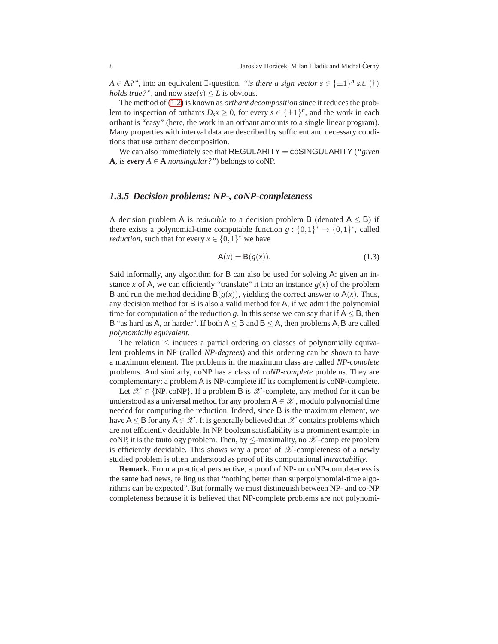*A* ∈ **A**<sup>2"</sup>, into an equivalent ∃-question, *"is there a sign vector s* ∈ { $\pm 1$ }<sup>*n*</sup> *s.t.* (†) *holds true?"*, and now *size*( $s$ )  $\leq$  *L* is obvious.

The method of [\(1.2\)](#page-6-0) is known as *orthant decomposition* since it reduces the problem to inspection of orthants  $D_s x \ge 0$ , for every  $s \in {\pm 1}^n$ , and the work in each orthant is "easy" (here, the work in an orthant amounts to a single linear program). Many properties with interval data are described by sufficient and necessary conditions that use orthant decomposition.

We can also immediately see that REGULARITY = coSINGULARITY (*"given* **A***, is every*  $A \∈ A$  *nonsingular?*") belongs to coNP.

### <span id="page-7-1"></span>*1.3.5 Decision problems: NP-, coNP-completeness*

A decision problem A is *reducible* to a decision problem B (denoted  $A \leq B$ ) if there exists a polynomial-time computable function  $g: \{0,1\}^* \to \{0,1\}^*$ , called *reduction*, such that for every  $x \in \{0,1\}^*$  we have

<span id="page-7-0"></span>
$$
\mathsf{A}(x) = \mathsf{B}(g(x)).\tag{1.3}
$$

Said informally, any algorithm for B can also be used for solving A: given an instance *x* of A, we can efficiently "translate" it into an instance  $g(x)$  of the problem B and run the method deciding  $B(g(x))$ , yielding the correct answer to  $A(x)$ . Thus, any decision method for B is also a valid method for A, if we admit the polynomial time for computation of the reduction *g*. In this sense we can say that if  $A \leq B$ , then B "as hard as A, or harder". If both  $A \leq B$  and  $B \leq A$ , then problems A, B are called *polynomially equivalent*.

The relation  $\leq$  induces a partial ordering on classes of polynomially equivalent problems in NP (called *NP-degrees*) and this ordering can be shown to have a maximum element. The problems in the maximum class are called *NP-complete* problems. And similarly, coNP has a class of *coNP-complete* problems. They are complementary: a problem A is NP-complete iff its complement is coNP-complete.

Let  $\mathscr{X} \in \{NP, \text{coNP}\}\$ . If a problem B is  $\mathscr{X}$ -complete, any method for it can be understood as a universal method for any problem  $A \in \mathcal{X}$ , modulo polynomial time needed for computing the reduction. Indeed, since B is the maximum element, we have A  $\leq$  B for any A  $\in \mathcal{X}$ . It is generally believed that  $\mathcal X$  contains problems which are not efficiently decidable. In NP, boolean satisfiability is a prominent example; in coNP, it is the tautology problem. Then, by  $\leq$ -maximality, no  $\mathscr X$ -complete problem is efficiently decidable. This shows why a proof of  $\mathscr X$ -completeness of a newly studied problem is often understood as proof of its computational *intractability*.

**Remark.** From a practical perspective, a proof of NP- or coNP-completeness is the same bad news, telling us that "nothing better than superpolynomial-time algorithms can be expected". But formally we must distinguish between NP- and co-NP completeness because it is believed that NP-complete problems are not polynomi-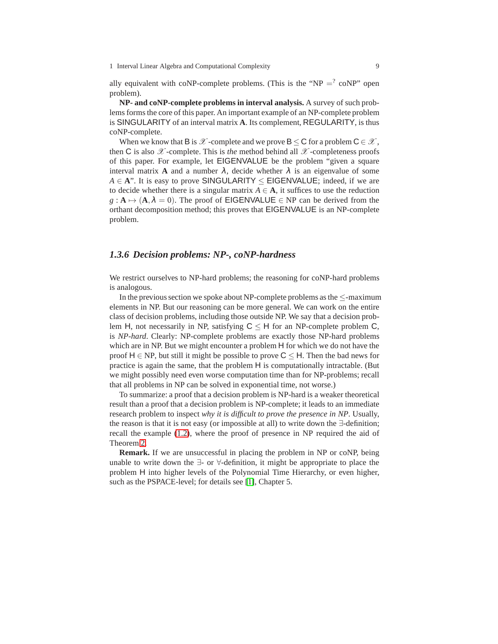ally equivalent with coNP-complete problems. (This is the "NP  $=$ <sup>2</sup> coNP" open problem).

**NP- and coNP-complete problems in interval analysis.** A survey of such problems forms the core of this paper. An important example of an NP-complete problem is SINGULARITY of an interval matrix **A**. Its complement, REGULARITY, is thus coNP-complete.

When we know that B is  $\mathscr X$ -complete and we prove B  $\leq C$  for a problem  $C \in \mathscr X$ , then C is also  $\mathscr X$ -complete. This is *the* method behind all  $\mathscr X$ -completeness proofs of this paper. For example, let EIGENVALUE be the problem "given a square interval matrix **A** and a number  $\lambda$ , decide whether  $\lambda$  is an eigenvalue of some  $A \in \mathbf{A}$ ". It is easy to prove SINGULARITY  $\leq$  EIGENVALUE; indeed, if we are to decide whether there is a singular matrix  $A \in \mathbf{A}$ , it suffices to use the reduction  $g : A \mapsto (A, \lambda = 0)$ . The proof of **EIGENVALUE**  $\in$  NP can be derived from the orthant decomposition method; this proves that EIGENVALUE is an NP-complete problem.

### *1.3.6 Decision problems: NP-, coNP-hardness*

We restrict ourselves to NP-hard problems; the reasoning for coNP-hard problems is analogous.

In the previous section we spoke about NP-complete problems as the  $\leq$ -maximum elements in NP. But our reasoning can be more general. We can work on the entire class of decision problems, including those outside NP. We say that a decision problem H, not necessarily in NP, satisfying  $C \leq H$  for an NP-complete problem C, is *NP-hard*. Clearly: NP-complete problems are exactly those NP-hard problems which are in NP. But we might encounter a problem H for which we do not have the proof  $H \in NP$ , but still it might be possible to prove  $C \leq H$ . Then the bad news for practice is again the same, that the problem H is computationally intractable. (But we might possibly need even worse computation time than for NP-problems; recall that all problems in NP can be solved in exponential time, not worse.)

To summarize: a proof that a decision problem is NP-hard is a weaker theoretical result than a proof that a decision problem is NP-complete; it leads to an immediate research problem to inspect *why it is difficult to prove the presence in NP*. Usually, the reason is that it is not easy (or impossible at all) to write down the ∃-definition; recall the example [\(1.2\)](#page-6-0), where the proof of presence in NP required the aid of Theorem [2.](#page-3-0)

**Remark.** If we are unsuccessful in placing the problem in NP or coNP, being unable to write down the ∃- or ∀-definition, it might be appropriate to place the problem H into higher levels of the Polynomial Time Hierarchy, or even higher, such as the PSPACE-level; for details see [\[1\]](#page-27-2), Chapter 5.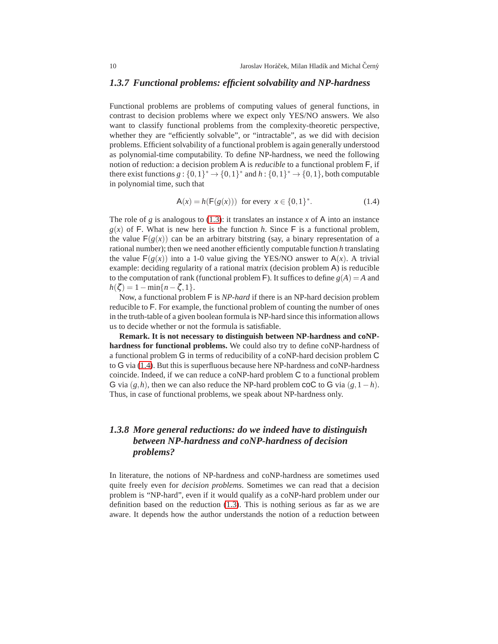### *1.3.7 Functional problems: efficient solvability and NP-hardness*

Functional problems are problems of computing values of general functions, in contrast to decision problems where we expect only YES/NO answers. We also want to classify functional problems from the complexity-theoretic perspective, whether they are "efficiently solvable", or "intractable", as we did with decision problems. Efficient solvability of a functional problem is again generally understood as polynomial-time computability. To define NP-hardness, we need the following notion of reduction: a decision problem A is *reducible* to a functional problem F, if there exist functions  $g: \{0,1\}^* \to \{0,1\}^*$  and  $h: \{0,1\}^* \to \{0,1\}$ , both computable in polynomial time, such that

<span id="page-9-0"></span>
$$
A(x) = h(F(g(x))) \text{ for every } x \in \{0, 1\}^*.
$$
 (1.4)

The role of  $g$  is analogous to  $(1.3)$ : it translates an instance  $x$  of  $A$  into an instance  $g(x)$  of F. What is new here is the function *h*. Since F is a functional problem, the value  $F(g(x))$  can be an arbitrary bitstring (say, a binary representation of a rational number); then we need another efficiently computable function *h* translating the value  $F(g(x))$  into a 1-0 value giving the YES/NO answer to  $A(x)$ . A trivial example: deciding regularity of a rational matrix (decision problem A) is reducible to the computation of rank (functional problem F). It suffices to define  $g(A) = A$  and  $h(\zeta) = 1 - \min\{n - \zeta, 1\}.$ 

Now, a functional problem F is *NP-hard* if there is an NP-hard decision problem reducible to F. For example, the functional problem of counting the number of ones in the truth-table of a given boolean formula is NP-hard since this information allows us to decide whether or not the formula is satisfiable.

**Remark. It is not necessary to distinguish between NP-hardness and coNPhardness for functional problems.** We could also try to define coNP-hardness of a functional problem G in terms of reducibility of a coNP-hard decision problem C to G via [\(1.4\)](#page-9-0). But this is superfluous because here NP-hardness and coNP-hardness coincide. Indeed, if we can reduce a coNP-hard problem C to a functional problem G via  $(g, h)$ , then we can also reduce the NP-hard problem coC to G via  $(g, 1-h)$ . Thus, in case of functional problems, we speak about NP-hardness only.

# *1.3.8 More general reductions: do we indeed have to distinguish between NP-hardness and coNP-hardness of decision problems?*

In literature, the notions of NP-hardness and coNP-hardness are sometimes used quite freely even for *decision problems*. Sometimes we can read that a decision problem is "NP-hard", even if it would qualify as a coNP-hard problem under our definition based on the reduction [\(1.3\)](#page-7-0). This is nothing serious as far as we are aware. It depends how the author understands the notion of a reduction between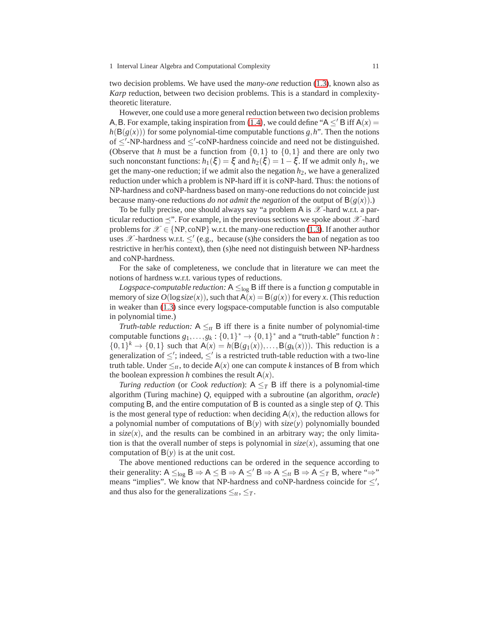two decision problems. We have used the *many-one* reduction [\(1.3\)](#page-7-0), known also as *Karp* reduction, between two decision problems. This is a standard in complexitytheoretic literature.

However, one could use a more general reduction between two decision problems A, B. For example, taking inspiration from ([1](#page-9-0).4), we could define " $A \leq' B$  iff  $A(x) =$  $h(\mathsf{B}(g(x)))$  for some polynomial-time computable functions  $g, h$ ". Then the notions of  $\leq'$ -NP-hardness and  $\leq'$ -coNP-hardness coincide and need not be distinguished. (Observe that *h* must be a function from  $\{0,1\}$  to  $\{0,1\}$  and there are only two such nonconstant functions:  $h_1(\xi) = \xi$  and  $h_2(\xi) = 1 - \xi$ . If we admit only  $h_1$ , we get the many-one reduction; if we admit also the negation  $h_2$ , we have a generalized reduction under which a problem is NP-hard iff it is coNP-hard. Thus: the notions of NP-hardness and coNP-hardness based on many-one reductions do not coincide just because many-one reductions *do not admit the negation* of the output of  $B(g(x))$ .)

To be fully precise, one should always say "a problem A is  $\mathscr X$ -hard w.r.t. a particular reduction  $\preceq$ ". For example, in the previous sections we spoke about  $\mathscr X$ -hard problems for  $\mathcal{X} \in \{NP, \text{coNP}\}\$  w.r.t. the many-one reduction [\(1.3\)](#page-7-0). If another author uses  $\mathscr X$ -hardness w.r.t.  $\leq'$  (e.g., because (s) he considers the ban of negation as too restrictive in her/his context), then (s)he need not distinguish between NP-hardness and coNP-hardness.

For the sake of completeness, we conclude that in literature we can meet the notions of hardness w.r.t. various types of reductions.

*Logspace-computable reduction:*  $A \leq_{\text{log}} B$  iff there is a function *g* computable in memory of size  $O(\log size(x))$ , such that  $A(x) = B(g(x))$  for every *x*. (This reduction in weaker than [\(1.3\)](#page-7-0) since every logspace-computable function is also computable in polynomial time.)

*Truth-table reduction:*  $A \leq_{tt} B$  iff there is a finite number of polynomial-time computable functions  $g_1, \ldots, g_k : \{0,1\}^* \to \{0,1\}^*$  and a "truth-table" function *h* :  $\{0,1\}^k \to \{0,1\}$  such that  $A(x) = h(B(g_1(x)),...,B(g_k(x)))$ . This reduction is a generalization of  $\leq'$ ; indeed,  $\leq'$  is a restricted truth-table reduction with a two-line truth table. Under  $\leq_{tt}$ , to decide  $A(x)$  one can compute *k* instances of B from which the boolean expression *h* combines the result  $A(x)$ .

*Turing reduction* (or *Cook reduction*):  $A \leq_T B$  iff there is a polynomial-time algorithm (Turing machine) *Q*, equipped with a subroutine (an algorithm, *oracle*) computing B, and the entire computation of B is counted as a single step of *Q*. This is the most general type of reduction: when deciding  $A(x)$ , the reduction allows for a polynomial number of computations of B(*y*) with *size*(*y*) polynomially bounded in  $size(x)$ , and the results can be combined in an arbitrary way; the only limitation is that the overall number of steps is polynomial in  $size(x)$ , assuming that one computation of  $B(y)$  is at the unit cost.

The above mentioned reductions can be ordered in the sequence according to their generality:  $A \leq_{log} B \Rightarrow A \leq B \Rightarrow A \leq' B \Rightarrow A \leq_{tt} B \Rightarrow A \leq_T B$ , where " $\Rightarrow$ " means "implies". We know that NP-hardness and coNP-hardness coincide for  $\leq'$ , and thus also for the generalizations  $\leq_{tt}$ ,  $\leq_T$ .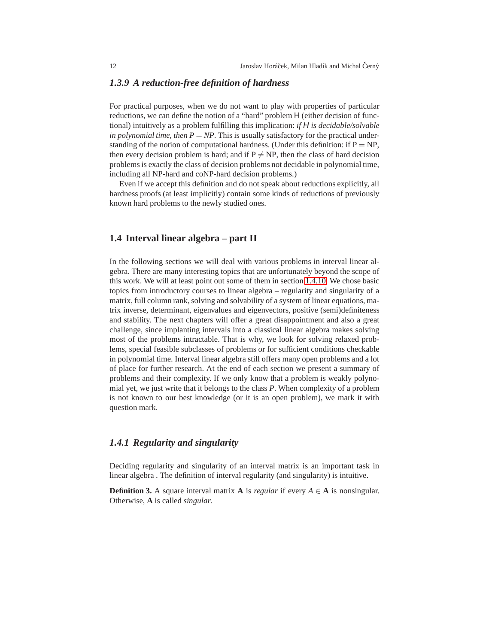### *1.3.9 A reduction-free definition of hardness*

For practical purposes, when we do not want to play with properties of particular reductions, we can define the notion of a "hard" problem H (either decision of functional) intuitively as a problem fulfilling this implication: *if* H *is decidable/solvable in polynomial time, then*  $P = NP$ *. This is usually satisfactory for the practical under*standing of the notion of computational hardness. (Under this definition: if  $P = NP$ , then every decision problem is hard; and if  $P \neq NP$ , then the class of hard decision problems is exactly the class of decision problems not decidable in polynomial time, including all NP-hard and coNP-hard decision problems.)

Even if we accept this definition and do not speak about reductions explicitly, all hardness proofs (at least implicitly) contain some kinds of reductions of previously known hard problems to the newly studied ones.

### **1.4 Interval linear algebra – part II**

In the following sections we will deal with various problems in interval linear algebra. There are many interesting topics that are unfortunately beyond the scope of this work. We will at least point out some of them in section [1.4.10.](#page-26-0) We chose basic topics from introductory courses to linear algebra – regularity and singularity of a matrix, full column rank, solving and solvability of a system of linear equations, matrix inverse, determinant, eigenvalues and eigenvectors, positive (semi)definiteness and stability. The next chapters will offer a great disappointment and also a great challenge, since implanting intervals into a classical linear algebra makes solving most of the problems intractable. That is why, we look for solving relaxed problems, special feasible subclasses of problems or for sufficient conditions checkable in polynomial time. Interval linear algebra still offers many open problems and a lot of place for further research. At the end of each section we present a summary of problems and their complexity. If we only know that a problem is weakly polynomial yet, we just write that it belongs to the class *P*. When complexity of a problem is not known to our best knowledge (or it is an open problem), we mark it with question mark.

# *1.4.1 Regularity and singularity*

Deciding regularity and singularity of an interval matrix is an important task in linear algebra . The definition of interval regularity (and singularity) is intuitive.

**Definition 3.** A square interval matrix **A** is *regular* if every  $A \in \mathbf{A}$  is nonsingular. Otherwise, **A** is called *singular*.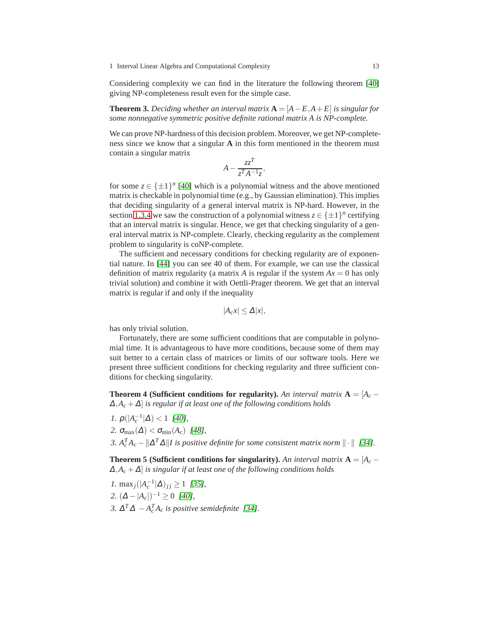Considering complexity we can find in the literature the following theorem [\[40\]](#page-29-5) giving NP-completeness result even for the simple case.

**Theorem 3.** Deciding whether an interval matrix  $\mathbf{A} = [A - E, A + E]$  is singular for *some nonnegative symmetric positive definite rational matrix A is NP-complete.*

We can prove NP-hardness of this decision problem. Moreover, we get NP-completeness since we know that a singular **A** in this form mentioned in the theorem must contain a singular matrix

$$
A - \frac{z z^T}{z^T A^{-1} z},
$$

for some  $z \in {\pm 1}^n$  [\[40\]](#page-29-5) which is a polynomial witness and the above mentioned matrix is checkable in polynomial time (e.g., by Gaussian elimination). This implies that deciding singularity of a general interval matrix is NP-hard. However, in the section [1.3.4](#page-5-1) we saw the construction of a polynomial witness  $z \in {\pm 1}^n$  certifying that an interval matrix is singular. Hence, we get that checking singularity of a general interval matrix is NP-complete. Clearly, checking regularity as the complement problem to singularity is coNP-complete.

The sufficient and necessary conditions for checking regularity are of exponential nature. In [\[44\]](#page-29-6) you can see 40 of them. For example, we can use the classical definition of matrix regularity (a matrix *A* is regular if the system  $Ax = 0$  has only trivial solution) and combine it with Oettli-Prager theorem. We get that an interval matrix is regular if and only if the inequality

$$
|A_c x| \leq \Delta |x|,
$$

has only trivial solution.

Fortunately, there are some sufficient conditions that are computable in polynomial time. It is advantageous to have more conditions, because some of them may suit better to a certain class of matrices or limits of our software tools. Here we present three sufficient conditions for checking regularity and three sufficient conditions for checking singularity.

**Theorem 4 (Sufficient conditions for regularity).** An interval matrix  $A = [A_c - A_c]$  $\Delta$ , $A_c + \Delta$  *is regular if at least one of the following conditions holds* 

- *1.*  $\rho(|A_c^{-1}|\Delta) < 1$  *[\[40\]](#page-29-5),*
- 2.  $\sigma_{\text{max}}(\Delta) < \sigma_{\text{min}}(A_c)$  [\[48\]](#page-29-7),
- *3.*  $A_c^T A_c ||\Delta^T \Delta||I$  is positive definite for some consistent matrix norm  $||\cdot||$  [\[34\]](#page-29-8).

**Theorem 5 (Sufficient conditions for singularity).** An interval matrix  $A = [A_c - A_c]$  $\Delta$ , $A_c + \Delta$  *is singular if at least one of the following conditions holds* 

*1.* max<sub>*j*</sub>( $|A_c^{-1}|\Delta$ )*jj* ≥ 1 *[\[35\]](#page-29-9),* 

2. 
$$
(\Delta - |A_c|)^{-1} \ge 0
$$
 [40],

*3.*  $\Delta^T \Delta - A_c^T A_c$  *is positive semidefinite* [\[34\]](#page-29-8)*.*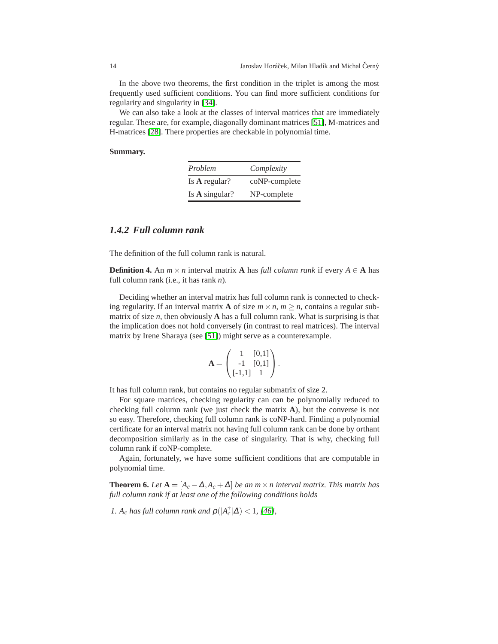In the above two theorems, the first condition in the triplet is among the most frequently used sufficient conditions. You can find more sufficient conditions for regularity and singularity in [\[34\]](#page-29-8).

We can also take a look at the classes of interval matrices that are immediately regular. These are, for example, diagonally dominant matrices [\[51\]](#page-29-10), M-matrices and H-matrices [\[28\]](#page-28-1). There properties are checkable in polynomial time.

#### **Summary.**

| Problem          | Complexity    |
|------------------|---------------|
| Is $A$ regular?  | coNP-complete |
| Is $A$ singular? | NP-complete   |

### *1.4.2 Full column rank*

The definition of the full column rank is natural.

**Definition 4.** An  $m \times n$  interval matrix **A** has *full column rank* if every  $A \in \mathbf{A}$  has full column rank (i.e., it has rank *n*).

Deciding whether an interval matrix has full column rank is connected to checking regularity. If an interval matrix **A** of size  $m \times n$ ,  $m \ge n$ , contains a regular submatrix of size  $n$ , then obviously **A** has a full column rank. What is surprising is that the implication does not hold conversely (in contrast to real matrices). The interval matrix by Irene Sharaya (see [\[51\]](#page-29-10)) might serve as a counterexample.

$$
\mathbf{A} = \begin{pmatrix} 1 & [0,1] \\ -1 & [0,1] \\ [-1,1] & 1 \end{pmatrix}.
$$

It has full column rank, but contains no regular submatrix of size 2.

For square matrices, checking regularity can can be polynomially reduced to checking full column rank (we just check the matrix **A**), but the converse is not so easy. Therefore, checking full column rank is coNP-hard. Finding a polynomial certificate for an interval matrix not having full column rank can be done by orthant decomposition similarly as in the case of singularity. That is why, checking full column rank if coNP-complete.

Again, fortunately, we have some sufficient conditions that are computable in polynomial time.

**Theorem 6.** *Let*  $A = [A_c - \Delta, A_c + \Delta]$  *be an m* × *n* interval matrix. This matrix has *full column rank if at least one of the following conditions holds*

*1.*  $A_c$  *has full column rank and*  $\rho(|A_c^{\dagger}|\Delta) < 1$ , [\[46\]](#page-29-0),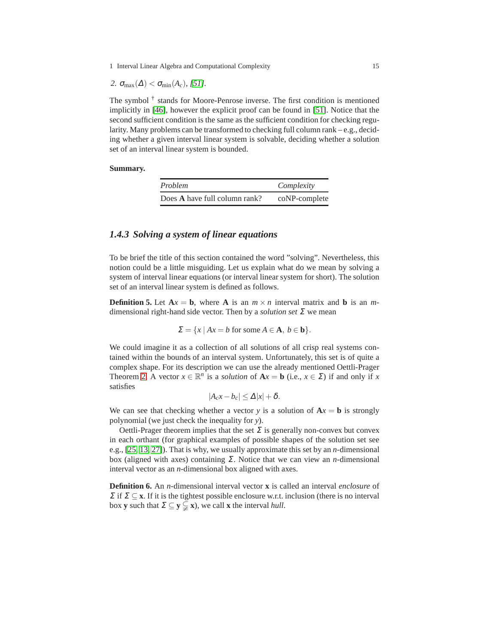2.  $\sigma_{\max}(\Delta) < \sigma_{\min}(A_c)$ , [\[51\]](#page-29-10)*.* 

The symbol † stands for Moore-Penrose inverse. The first condition is mentioned implicitly in [\[46\]](#page-29-0), however the explicit proof can be found in [\[51\]](#page-29-10). Notice that the second sufficient condition is the same as the sufficient condition for checking regularity. Many problems can be transformed to checking full column rank – e.g., deciding whether a given interval linear system is solvable, deciding whether a solution set of an interval linear system is bounded.

#### **Summary.**

| Problem                       | Complexity    |
|-------------------------------|---------------|
| Does A have full column rank? | coNP-complete |

### *1.4.3 Solving a system of linear equations*

To be brief the title of this section contained the word "solving". Nevertheless, this notion could be a little misguiding. Let us explain what do we mean by solving a system of interval linear equations (or interval linear system for short). The solution set of an interval linear system is defined as follows.

**Definition 5.** Let  $Ax = b$ , where A is an  $m \times n$  interval matrix and b is an *m*dimensional right-hand side vector. Then by a *solution set* <sup>Σ</sup> we mean

<span id="page-14-0"></span>
$$
\Sigma = \{x \mid Ax = b \text{ for some } A \in \mathbf{A}, \ b \in \mathbf{b}\}.
$$

We could imagine it as a collection of all solutions of all crisp real systems contained within the bounds of an interval system. Unfortunately, this set is of quite a complex shape. For its description we can use the already mentioned Oettli-Prager Theorem [2.](#page-3-0) A vector  $x \in \mathbb{R}^n$  is a *solution* of  $Ax = b$  (i.e.,  $x \in \Sigma$ ) if and only if *x* satisfies

$$
|A_c x - b_c| \leq \Delta |x| + \delta.
$$

We can see that checking whether a vector *y* is a solution of  $A x = b$  is strongly polynomial (we just check the inequality for *y*).

Oettli-Prager theorem implies that the set  $\Sigma$  is generally non-convex but convex in each orthant (for graphical examples of possible shapes of the solution set see e.g., [\[25,](#page-28-8) [13,](#page-28-9) [27\]](#page-28-10)). That is why, we usually approximate this set by an *n*-dimensional box (aligned with axes) containing <sup>Σ</sup>. Notice that we can view an *n*-dimensional interval vector as an *n*-dimensional box aligned with axes.

**Definition 6.** An *n*-dimensional interval vector **x** is called an interval *enclosure* of  $\Sigma$  if  $\Sigma \subseteq \mathbf{x}$ . If it is the tightest possible enclosure w.r.t. inclusion (there is no interval box **y** such that  $\Sigma \subseteq y \subseteqneq x$ , we call **x** the interval *hull*.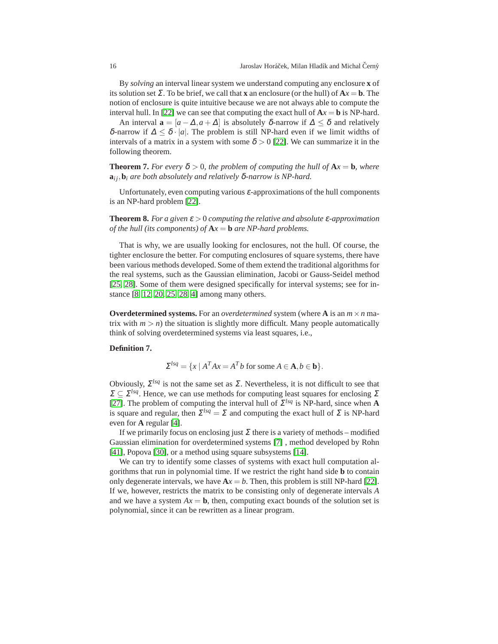By *solving* an interval linear system we understand computing any enclosure **x** of its solution set  $\Sigma$ . To be brief, we call that **x** an enclosure (or the hull) of  $A x = b$ . The notion of enclosure is quite intuitive because we are not always able to compute the interval hull. In [\[22\]](#page-28-0) we can see that computing the exact hull of  $A x = b$  is NP-hard.

An interval  $\mathbf{a} = [a - \Delta, a + \Delta]$  is absolutely  $\delta$ -narrow if  $\Delta \leq \delta$  and relatively <sup>δ</sup>-narrow if <sup>∆</sup> ≤ <sup>δ</sup> · |*a*|. The problem is still NP-hard even if we limit widths of intervals of a matrix in a system with some  $\delta > 0$  [\[22\]](#page-28-0). We can summarize it in the following theorem.

**Theorem 7.** For every  $\delta > 0$ , the problem of computing the hull of  $Ax = b$ , where  $\mathbf{a}_{i}$ ;  $\mathbf{b}_{i}$  *are both absolutely and relatively*  $\delta$ -narrow *is NP-hard.* 

Unfortunately, even computing various  $\varepsilon$ -approximations of the hull components is an NP-hard problem [\[22\]](#page-28-0).

**Theorem 8.** *For a given*  $\varepsilon > 0$  *computing the relative and absolute*  $\varepsilon$ -*approximation of the hull (its components) of*  $Ax = b$  *are NP-hard problems.* 

That is why, we are usually looking for enclosures, not the hull. Of course, the tighter enclosure the better. For computing enclosures of square systems, there have been various methods developed. Some of them extend the traditional algorithms for the real systems, such as the Gaussian elimination, Jacobi or Gauss-Seidel method [\[25,](#page-28-8) [28\]](#page-28-1). Some of them were designed specifically for interval systems; see for instance [\[8,](#page-28-11) [12,](#page-28-12) [20,](#page-28-13) [25,](#page-28-8) [28,](#page-28-1) [4\]](#page-27-0) among many others.

**Overdetermined systems.** For an *overdetermined* system (where **A** is an  $m \times n$  matrix with  $m > n$ ) the situation is slightly more difficult. Many people automatically think of solving overdetermined systems via least squares, i.e.,

#### **Definition 7.**

$$
\Sigma^{lsq} = \{x \mid A^T A x = A^T b \text{ for some } A \in \mathbf{A}, b \in \mathbf{b}\}.
$$

Obviously,  $\Sigma^{lsq}$  is not the same set as  $\Sigma$ . Nevertheless, it is not difficult to see that  $\Sigma \subseteq \Sigma^{lsq}$ . Hence, we can use methods for computing least squares for enclosing  $\Sigma$ [\[27\]](#page-28-10). The problem of computing the interval hull of  $\Sigma^{lsq}$  is NP-hard, since when **A** is square and regular, then  $\Sigma^{lsq} = \Sigma$  and computing the exact hull of  $\Sigma$  is NP-hard even for **A** regular [\[4\]](#page-27-0).

If we primarily focus on enclosing just  $\Sigma$  there is a variety of methods – modified Gaussian elimination for overdetermined systems [\[7\]](#page-28-14) , method developed by Rohn [\[41\]](#page-29-11), Popova [\[30\]](#page-28-15), or a method using square subsystems [\[14\]](#page-28-16).

We can try to identify some classes of systems with exact hull computation algorithms that run in polynomial time. If we restrict the right hand side **b** to contain only degenerate intervals, we have  $Ax = b$ . Then, this problem is still NP-hard [\[22\]](#page-28-0). If we, however, restricts the matrix to be consisting only of degenerate intervals *A* and we have a system  $Ax = b$ , then, computing exact bounds of the solution set is polynomial, since it can be rewritten as a linear program.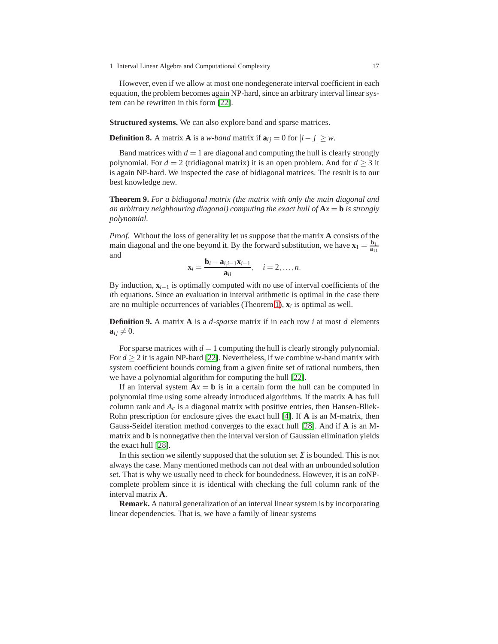However, even if we allow at most one nondegenerate interval coefficient in each equation, the problem becomes again NP-hard, since an arbitrary interval linear system can be rewritten in this form [\[22\]](#page-28-0).

**Structured systems.** We can also explore band and sparse matrices.

**Definition 8.** A matrix **A** is a *w*-*band* matrix if  $\mathbf{a}_{ij} = 0$  for  $|i - j| \geq w$ .

Band matrices with  $d = 1$  are diagonal and computing the hull is clearly strongly polynomial. For  $d = 2$  (tridiagonal matrix) it is an open problem. And for  $d > 3$  it is again NP-hard. We inspected the case of bidiagonal matrices. The result is to our best knowledge new.

**Theorem 9.** *For a bidiagonal matrix (the matrix with only the main diagonal and an arbitrary neighbouring diagonal) computing the exact hull of*  $\mathbf{A}x = \mathbf{b}$  *is strongly polynomial.*

*Proof.* Without the loss of generality let us suppose that the matrix **A** consists of the main diagonal and the one beyond it. By the forward substitution, we have  $\mathbf{x}_1 = \frac{\mathbf{b}_1}{\mathbf{a}_{11}}$ and

$$
\mathbf{x}_i = \frac{\mathbf{b}_i - \mathbf{a}_{i,i-1}\mathbf{x}_{i-1}}{\mathbf{a}_{ii}}, \quad i = 2,\ldots,n.
$$

By induction,  $\mathbf{x}_{i-1}$  is optimally computed with no use of interval coefficients of the *i*th equations. Since an evaluation in interval arithmetic is optimal in the case there are no multiple occurrences of variables (Theorem [1\)](#page-2-0),  $\mathbf{x}_i$  is optimal as well.

**Definition 9.** A matrix **A** is a *d*-*sparse* matrix if in each row *i* at most *d* elements  $\mathbf{a}_{ij} \neq 0.$ 

For sparse matrices with  $d = 1$  computing the hull is clearly strongly polynomial. For  $d \geq 2$  it is again NP-hard [\[22\]](#page-28-0). Nevertheless, if we combine w-band matrix with system coefficient bounds coming from a given finite set of rational numbers, then we have a polynomial algorithm for computing the hull [\[22\]](#page-28-0).

If an interval system  $A x = b$  is in a certain form the hull can be computed in polynomial time using some already introduced algorithms. If the matrix **A** has full column rank and  $A_c$  is a diagonal matrix with positive entries, then Hansen-Bliek-Rohn prescription for enclosure gives the exact hull [\[4\]](#page-27-0). If **A** is an M-matrix, then Gauss-Seidel iteration method converges to the exact hull [\[28\]](#page-28-1). And if **A** is an Mmatrix and **b** is nonnegative then the interval version of Gaussian elimination yields the exact hull [\[28\]](#page-28-1).

In this section we silently supposed that the solution set  $\Sigma$  is bounded. This is not always the case. Many mentioned methods can not deal with an unbounded solution set. That is why we usually need to check for boundedness. However, it is an coNPcomplete problem since it is identical with checking the full column rank of the interval matrix **A**.

**Remark.** A natural generalization of an interval linear system is by incorporating linear dependencies. That is, we have a family of linear systems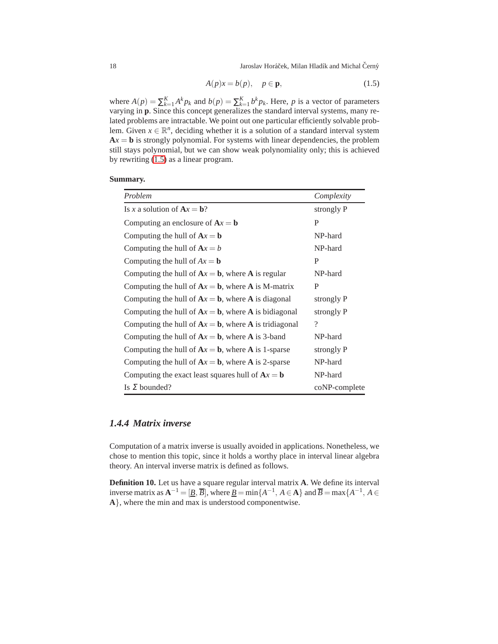18 Jaroslav Horáček, Milan Hladík and Michal Černý

<span id="page-17-0"></span>
$$
A(p)x = b(p), \quad p \in \mathbf{p}, \tag{1.5}
$$

where  $A(p) = \sum_{k=1}^{K} A^k p_k$  and  $b(p) = \sum_{k=1}^{K} b^k p_k$ . Here, *p* is a vector of parameters varying in **p**. Since this concept generalizes the standard interval systems, many related problems are intractable. We point out one particular efficiently solvable problem. Given  $x \in \mathbb{R}^n$ , deciding whether it is a solution of a standard interval system  $Ax = b$  is strongly polynomial. For systems with linear dependencies, the problem still stays polynomial, but we can show weak polynomiality only; this is achieved by rewriting [\(1.5\)](#page-17-0) as a linear program.

| Summary. |  |
|----------|--|
|----------|--|

| Problem                                                 | Complexity               |
|---------------------------------------------------------|--------------------------|
| Is x a solution of $Ax = b$ ?                           | strongly P               |
| Computing an enclosure of $Ax = b$                      | P                        |
| Computing the hull of $Ax = b$                          | NP-hard                  |
| Computing the hull of $Ax = b$                          | NP-hard                  |
| Computing the hull of $Ax = b$                          | P                        |
| Computing the hull of $Ax = b$ , where A is regular     | NP-hard                  |
| Computing the hull of $Ax = b$ , where A is M-matrix    | P                        |
| Computing the hull of $Ax = b$ , where A is diagonal    | strongly P               |
| Computing the hull of $Ax = b$ , where A is bidiagonal  | strongly P               |
| Computing the hull of $Ax = b$ , where A is tridiagonal | $\overline{\mathcal{C}}$ |
| Computing the hull of $Ax = b$ , where A is 3-band      | NP-hard                  |
| Computing the hull of $Ax = b$ , where A is 1-sparse    | strongly P               |
| Computing the hull of $Ax = b$ , where A is 2-sparse    | NP-hard                  |
| Computing the exact least squares hull of $Ax = b$      | NP-hard                  |
| Is $\Sigma$ bounded?                                    | coNP-complete            |

### *1.4.4 Matrix inverse*

Computation of a matrix inverse is usually avoided in applications. Nonetheless, we chose to mention this topic, since it holds a worthy place in interval linear algebra theory. An interval inverse matrix is defined as follows.

**Definition 10.** Let us have a square regular interval matrix **A**. We define its interval inverse matrix as  $A^{-1} = [\underline{B}, \overline{B}]$ , where  $\underline{B} = \min\{A^{-1}, A \in A\}$  and  $\overline{B} = \max\{A^{-1}, A \in A\}$ **A**}, where the min and max is understood componentwise.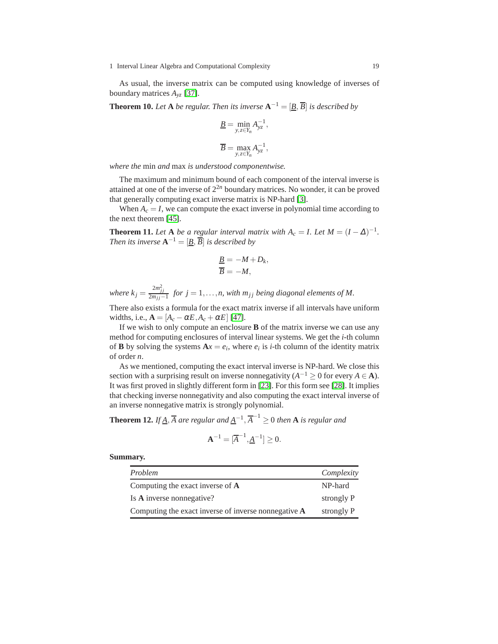As usual, the inverse matrix can be computed using knowledge of inverses of boundary matrices *Ayz* [\[37\]](#page-29-12).

**Theorem 10.** Let **A** be regular. Then its inverse  $A^{-1} = [\underline{B}, \overline{B}]$  is described by

$$
\underline{B} = \min_{y, z \in Y_n} A_{yz}^{-1},
$$

$$
\overline{B} = \max_{y, z \in Y_n} A_{yz}^{-1},
$$

*where the* min *and* max *is understood componentwise.*

The maximum and minimum bound of each component of the interval inverse is attained at one of the inverse of  $2^{2n}$  boundary matrices. No wonder, it can be proved that generally computing exact inverse matrix is NP-hard [\[3\]](#page-27-3).

When  $A_c = I$ , we can compute the exact inverse in polynomial time according to the next theorem [\[45\]](#page-29-13).

**Theorem 11.** Let  $\bf{A}$  be a regular interval matrix with  $A_c = I$ . Let  $M = (I - \Delta)^{-1}$ . *Then its inverse*  $A^{-1} = [\underline{B}, \overline{B}]$  *is described by* 

$$
\frac{B}{B} = -M + D_k,
$$
  

$$
\overline{B} = -M,
$$

*where*  $k_j = \frac{2m_{jj}^2}{2m_{jj}-1}$  *for*  $j = 1, ..., n$ *, with*  $m_{jj}$  *being diagonal elements of M.* 

There also exists a formula for the exact matrix inverse if all intervals have uniform widths, i.e.,  $\mathbf{A} = [A_c - \alpha E, A_c + \alpha E]$  [\[47\]](#page-29-14).

If we wish to only compute an enclosure **B** of the matrix inverse we can use any method for computing enclosures of interval linear systems. We get the *i*-th column of **B** by solving the systems  $Ax = e_i$ , where  $e_i$  is *i*-th column of the identity matrix of order *n*.

As we mentioned, computing the exact interval inverse is NP-hard. We close this section with a surprising result on inverse nonnegativity ( $A^{-1} \ge 0$  for every  $A \in \mathbf{A}$ ). It was first proved in slightly different form in [\[23\]](#page-28-17). For this form see [\[28\]](#page-28-1). It implies that checking inverse nonnegativity and also computing the exact interval inverse of an inverse nonnegative matrix is strongly polynomial.

**Theorem 12.** *If* <u>A</u>,  $\overline{A}$  are regular and  $\underline{A}^{-1}$ ,  $\overline{A}^{-1} \geq 0$  *then* **A** *is regular and* 

$$
\mathbf{A}^{-1} = [\overline{A}^{-1}, \underline{A}^{-1}] \ge 0.
$$

**Summary.**

| Problem                                                     | Complexity |
|-------------------------------------------------------------|------------|
| Computing the exact inverse of A                            | NP-hard    |
| Is A inverse nonnegative?                                   | strongly P |
| Computing the exact inverse of inverse nonnegative $\bf{A}$ | strongly P |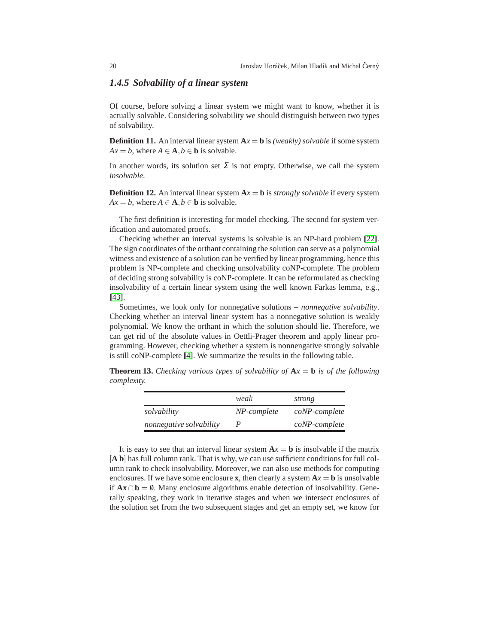### *1.4.5 Solvability of a linear system*

Of course, before solving a linear system we might want to know, whether it is actually solvable. Considering solvability we should distinguish between two types of solvability.

**Definition 11.** An interval linear system  $Ax = b$  is *(weakly) solvable* if some system *Ax* = *b*, where  $A \in \mathbf{A}$ ,  $b \in \mathbf{b}$  is solvable.

In another words, its solution set  $\Sigma$  is not empty. Otherwise, we call the system *insolvable*.

**Definition 12.** An interval linear system  $Ax = b$  is *strongly solvable* if every system *Ax* = *b*, where  $A \in \mathbf{A}$ ,  $b \in \mathbf{b}$  is solvable.

The first definition is interesting for model checking. The second for system verification and automated proofs.

Checking whether an interval systems is solvable is an NP-hard problem [\[22\]](#page-28-0). The sign coordinates of the orthant containing the solution can serve as a polynomial witness and existence of a solution can be verified by linear programming, hence this problem is NP-complete and checking unsolvability coNP-complete. The problem of deciding strong solvability is coNP-complete. It can be reformulated as checking insolvability of a certain linear system using the well known Farkas lemma, e.g., [\[43\]](#page-29-15).

Sometimes, we look only for nonnegative solutions – *nonnegative solvability*. Checking whether an interval linear system has a nonnegative solution is weakly polynomial. We know the orthant in which the solution should lie. Therefore, we can get rid of the absolute values in Oettli-Prager theorem and apply linear programming. However, checking whether a system is nonnengative strongly solvable is still coNP-complete [\[4\]](#page-27-0). We summarize the results in the following table.

**Theorem 13.** *Checking various types of solvability of*  $Ax = b$  *is of the following complexity.*

|                         | weak        | strong        |
|-------------------------|-------------|---------------|
| solvability             | NP-complete | coNP-complete |
| nonnegative solvability |             | coNP-complete |

It is easy to see that an interval linear system  $Ax = b$  is insolvable if the matrix [A b] has full column rank. That is why, we can use sufficient conditions for full column rank to check insolvability. Moreover, we can also use methods for computing enclosures. If we have some enclosure **x**, then clearly a system  $Ax = b$  is unsolvable if  $\mathbf{Ax} \cap \mathbf{b} = \emptyset$ . Many enclosure algorithms enable detection of insolvability. Generally speaking, they work in iterative stages and when we intersect enclosures of the solution set from the two subsequent stages and get an empty set, we know for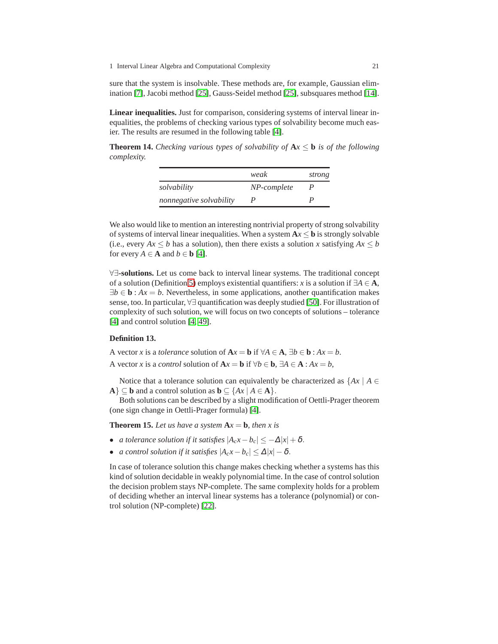sure that the system is insolvable. These methods are, for example, Gaussian elimination [\[7\]](#page-28-14), Jacobi method [\[25\]](#page-28-8), Gauss-Seidel method [\[25\]](#page-28-8), subsquares method [\[14\]](#page-28-16).

**Linear inequalities.** Just for comparison, considering systems of interval linear inequalities, the problems of checking various types of solvability become much easier. The results are resumed in the following table [\[4\]](#page-27-0).

**Theorem 14.** *Checking various types of solvability of*  $Ax \leq b$  *is of the following complexity.*

|                         | weak        | strong |
|-------------------------|-------------|--------|
| solvability             | NP-complete | P      |
| nonnegative solvability | P           |        |

We also would like to mention an interesting nontrivial property of strong solvability of systems of interval linear inequalities. When a system  $Ax \leq b$  is strongly solvable (i.e., every  $Ax \leq b$  has a solution), then there exists a solution *x* satisfying  $Ax \leq b$ for every  $A \in \mathbf{A}$  and  $b \in \mathbf{b}$  [\[4\]](#page-27-0).

∀∃**-solutions.** Let us come back to interval linear systems. The traditional concept of a solution (Definition [5\)](#page-14-0) employs existential quantifiers: *x* is a solution if ∃*A* ∈ **A**,  $\exists b \in \mathbf{b} : Ax = b$ . Nevertheless, in some applications, another quantification makes sense, too. In particular, ∀∃ quantification was deeply studied [\[50\]](#page-29-16). For illustration of complexity of such solution, we will focus on two concepts of solutions – tolerance [\[4\]](#page-27-0) and control solution [\[4,](#page-27-0) [49\]](#page-29-17).

#### **Definition 13.**

A vector *x* is a *tolerance* solution of  $Ax = b$  if  $\forall A \in A$ ,  $\exists b \in b : Ax = b$ .

A vector *x* is a *control* solution of  $Ax = b$  if  $\forall b \in b$ ,  $\exists A \in A : Ax = b$ ,

Notice that a tolerance solution can equivalently be characterized as  ${Ax \mid A \in \mathbb{R}^n}$ **A**} ⊆ **b** and a control solution as  $\mathbf{b} \subseteq \{Ax \mid A \in \mathbf{A}\}.$ 

Both solutions can be described by a slight modification of Oettli-Prager theorem (one sign change in Oettli-Prager formula) [\[4\]](#page-27-0).

**Theorem 15.** Let us have a system  $Ax = b$ , then x is

- *a tolerance solution if it satisfies*  $|A_c x b_c| < -\Delta |x| + \delta$ .
- *a control solution if it satisfies*  $|A_c x b_c| \leq \Delta |x| \delta$ .

In case of tolerance solution this change makes checking whether a systems has this kind of solution decidable in weakly polynomial time. In the case of control solution the decision problem stays NP-complete. The same complexity holds for a problem of deciding whether an interval linear systems has a tolerance (polynomial) or control solution (NP-complete) [\[22\]](#page-28-0).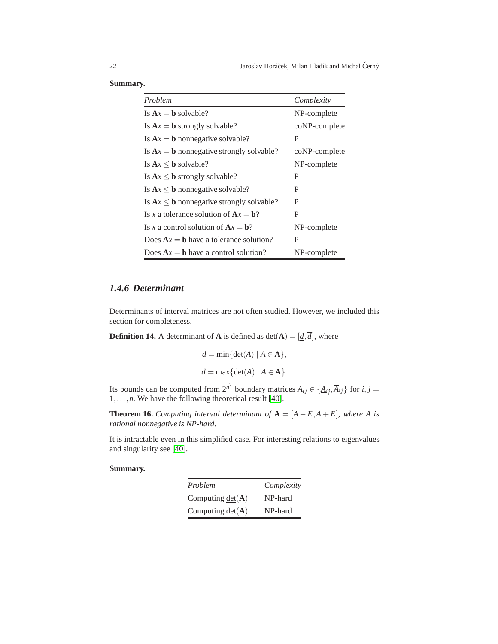| Summary. |
|----------|
|----------|

| Problem                                       | Complexity    |
|-----------------------------------------------|---------------|
| Is $Ax = b$ solvable?                         | NP-complete   |
| Is $Ax = b$ strongly solvable?                | coNP-complete |
| Is $Ax = b$ nonnegative solvable?             | P             |
| Is $Ax = b$ nonnegative strongly solvable?    | coNP-complete |
| Is $Ax \leq b$ solvable?                      | NP-complete   |
| Is $Ax \leq b$ strongly solvable?             | P             |
| Is $Ax \leq b$ nonnegative solvable?          | P             |
| Is $Ax \leq b$ nonnegative strongly solvable? | P             |
| Is x a tolerance solution of $Ax = b$ ?       | P             |
| Is x a control solution of $Ax = b$ ?         | NP-complete   |
| Does $Ax = b$ have a tolerance solution?      | P             |
| Does $Ax = b$ have a control solution?        | NP-complete   |

# *1.4.6 Determinant*

Determinants of interval matrices are not often studied. However, we included this section for completeness.

**Definition 14.** A determinant of **A** is defined as  $det(A) = [\underline{d}, \overline{d}]$ , where

$$
\underline{d} = \min\{\det(A) \mid A \in \mathbf{A}\},\
$$

$$
\overline{d} = \max\{\det(A) \mid A \in \mathbf{A}\}.
$$

Its bounds can be computed from  $2^{n^2}$  boundary matrices  $A_{ij} \in \{\underline{A}_{ij}, \overline{A}_{ij}\}\$  for  $i, j =$ 1,...,*n*. We have the following theoretical result [\[40\]](#page-29-5).

**Theorem 16.** *Computing interval determinant of*  $A = [A - E, A + E]$ *, where A is rational nonnegative is NP-hard.*

It is intractable even in this simplified case. For interesting relations to eigenvalues and singularity see [\[40\]](#page-29-5).

#### **Summary.**

| Problem                                 | Complexity |
|-----------------------------------------|------------|
| Computing $det(\mathbf{A})$             | NP-hard    |
| Computing $\overline{\det}(\mathbf{A})$ | NP-hard    |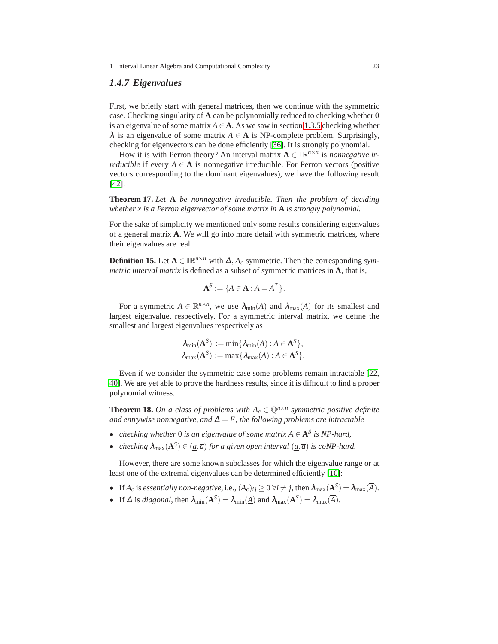#### *1.4.7 Eigenvalues*

First, we briefly start with general matrices, then we continue with the symmetric case. Checking singularity of **A** can be polynomially reduced to checking whether 0 is an eigenvalue of some matrix  $A \in \mathbf{A}$ . As we saw in section [1.3.5](#page-7-1) checking whether  $\lambda$  is an eigenvalue of some matrix  $A \in \mathbf{A}$  is NP-complete problem. Surprisingly, checking for eigenvectors can be done efficiently [\[36\]](#page-29-18). It is strongly polynomial.

How it is with Perron theory? An interval matrix  $A \in \mathbb{IR}^{n \times n}$  is *nonnegative irreducible* if every  $A \in \mathbf{A}$  is nonnegative irreducible. For Perron vectors (positive vectors corresponding to the dominant eigenvalues), we have the following result [\[42\]](#page-29-19).

**Theorem 17.** *Let* **A** *be nonnegative irreducible. Then the problem of deciding whether x is a Perron eigenvector of some matrix in* **A** *is strongly polynomial.*

For the sake of simplicity we mentioned only some results considering eigenvalues of a general matrix **A**. We will go into more detail with symmetric matrices, where their eigenvalues are real.

**Definition 15.** Let  $A \in \mathbb{IR}^{n \times n}$  with  $\Delta$ ,  $A_c$  symmetric. Then the corresponding *symmetric interval matrix* is defined as a subset of symmetric matrices in **A**, that is,

$$
\mathbf{A}^S := \{ A \in \mathbf{A} : A = A^T \}.
$$

For a symmetric  $A \in \mathbb{R}^{n \times n}$ , we use  $\lambda_{\min}(A)$  and  $\lambda_{\max}(A)$  for its smallest and largest eigenvalue, respectively. For a symmetric interval matrix, we define the smallest and largest eigenvalues respectively as

$$
\lambda_{\min}(\mathbf{A}^S) := \min \{ \lambda_{\min}(A) : A \in \mathbf{A}^S \},
$$
  

$$
\lambda_{\max}(\mathbf{A}^S) := \max \{ \lambda_{\max}(A) : A \in \mathbf{A}^S \}.
$$

Even if we consider the symmetric case some problems remain intractable [\[22,](#page-28-0) [40\]](#page-29-5). We are yet able to prove the hardness results, since it is difficult to find a proper polynomial witness.

**Theorem 18.** On a class of problems with  $A_c \in \mathbb{Q}^{n \times n}$  symmetric positive definite and entrywise nonnegative, and  $\Delta = E$ , the following problems are intractable

- *checking whether* 0 *is an eigenvalue of some matrix*  $A \in \mathbf{A}^S$  *is NP-hard,*
- *checking*  $\lambda_{\max}(\mathbf{A}^S) \in (\underline{a}, \overline{a})$  *for a given open interval*  $(\underline{a}, \overline{a})$  *is coNP-hard.*

However, there are some known subclasses for which the eigenvalue range or at least one of the extremal eigenvalues can be determined efficiently [\[10\]](#page-28-18):

- If  $A_c$  is *essentially non-negative*, i.e.,  $(A_c)_{ij} \geq 0 \ \forall i \neq j$ , then  $\lambda_{\max}(\mathbf{A}^S) = \lambda_{\max}(\overline{A})$ .
- If  $\Delta$  is *diagonal*, then  $\lambda_{\min}(\mathbf{A}^S) = \lambda_{\min}(\underline{A})$  and  $\lambda_{\max}(\mathbf{A}^S) = \lambda_{\max}(\overline{A})$ .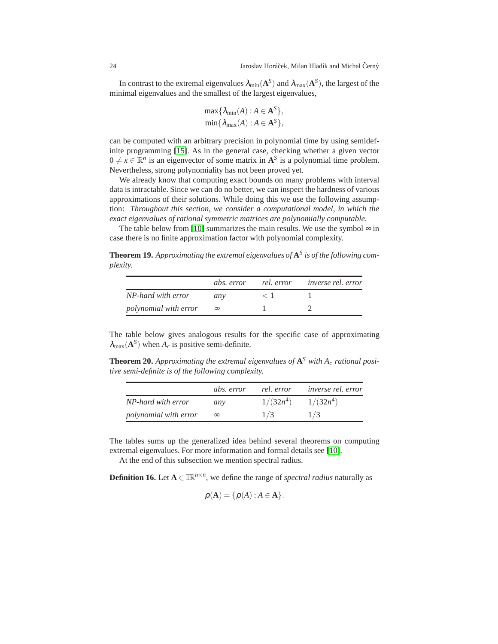In contrast to the extremal eigenvalues  $\lambda_{\min}({\bf A}^S)$  and  $\lambda_{\max}({\bf A}^S)$ , the largest of the minimal eigenvalues and the smallest of the largest eigenvalues,

$$
\max\{\lambda_{\min}(A) : A \in \mathbf{A}^{S}\},\
$$

$$
\min\{\lambda_{\max}(A) : A \in \mathbf{A}^{S}\},\
$$

can be computed with an arbitrary precision in polynomial time by using semidefinite programming [\[15\]](#page-28-19). As in the general case, checking whether a given vector  $0 \neq x \in \mathbb{R}^n$  is an eigenvector of some matrix in  $A^S$  is a polynomial time problem. Nevertheless, strong polynomiality has not been proved yet.

We already know that computing exact bounds on many problems with interval data is intractable. Since we can do no better, we can inspect the hardness of various approximations of their solutions. While doing this we use the following assumption: *Throughout this section, we consider a computational model, in which the exact eigenvalues of rational symmetric matrices are polynomially computable*.

The table below from [\[10\]](#page-28-18) summarizes the main results. We use the symbol  $\infty$  in case there is no finite approximation factor with polynomial complexity.

**Theorem 19.** Approximating the extremal eigenvalues of  $A<sup>S</sup>$  is of the following com*plexity.*

|                              | abs. error |       | rel, error inverse rel, error |
|------------------------------|------------|-------|-------------------------------|
| NP-hard with error           | any        | $<$ 1 |                               |
| <i>polynomial with error</i> | $\infty$   |       |                               |

The table below gives analogous results for the specific case of approximating  $\lambda_{\text{max}}(\mathbf{A}^S)$  when  $A_c$  is positive semi-definite.

**Theorem 20.** Approximating the extremal eigenvalues of  $A<sup>S</sup>$  with  $A<sub>c</sub>$  rational posi*tive semi-definite is of the following complexity.*

|                              | abs. error | rel, error  | <i>inverse rel. error</i> |
|------------------------------|------------|-------------|---------------------------|
| NP-hard with error           | any        | $1/(32n^4)$ | $1/(32n^4)$               |
| <i>polynomial with error</i> | $\infty$   | 1/3         | 1/3                       |

The tables sums up the generalized idea behind several theorems on computing extremal eigenvalues. For more information and formal details see [\[10\]](#page-28-18).

At the end of this subsection we mention spectral radius.

**Definition 16.** Let  $A \in \mathbb{IR}^{n \times n}$ , we define the range of *spectral radius* naturally as

$$
\rho(\mathbf{A}) = \{ \rho(A) : A \in \mathbf{A} \}.
$$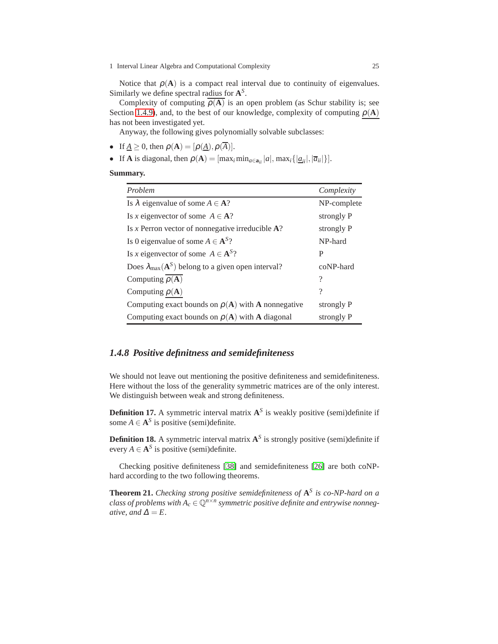Notice that  $\rho(A)$  is a compact real interval due to continuity of eigenvalues. Similarly we define spectral radius for **A** *S* .

Complexity of computing  $\overline{\rho(A)}$  is an open problem (as Schur stability is; see Section [1.4.9\)](#page-25-0), and, to the best of our knowledge, complexity of computing  $\rho(A)$ has not been investigated yet.

Anyway, the following gives polynomially solvable subclasses:

- If  $\underline{A} \geq 0$ , then  $\rho(\underline{A}) = [\rho(\underline{A}), \rho(\overline{A})]$ .
- If **A** is diagonal, then  $\rho(\mathbf{A}) = [\max_i \min_{a \in \mathbf{a}_{ii}} |a|, \max_i \{|\underline{a}_{ii}|, |\overline{a}_{ii}|\}].$

### **Summary.**

| Problem                                                           | Complexity  |
|-------------------------------------------------------------------|-------------|
| Is $\lambda$ eigenvalue of some $A \in \mathbf{A}$ ?              | NP-complete |
| Is x eigenvector of some $A \in \mathbf{A}$ ?                     | strongly P  |
| Is x Perron vector of nonnegative irreducible $A$ ?               | strongly P  |
| Is 0 eigenvalue of some $A \in \mathbf{A}^{S}$ ?                  | NP-hard     |
| Is x eigenvector of some $A \in \mathbf{A}^{S}$ ?                 | P           |
| Does $\lambda_{\text{max}}(A^S)$ belong to a given open interval? | coNP-hard   |
| Computing $\rho(A)$                                               | ?           |
| Computing $\rho(A)$                                               | ?           |
| Computing exact bounds on $\rho(A)$ with A nonnegative            | strongly P  |
| Computing exact bounds on $\rho(A)$ with A diagonal               | strongly P  |

### *1.4.8 Positive definitness and semidefiniteness*

We should not leave out mentioning the positive definiteness and semidefiniteness. Here without the loss of the generality symmetric matrices are of the only interest. We distinguish between weak and strong definiteness.

**Definition 17.** A symmetric interval matrix **A** *S* is weakly positive (semi)definite if some  $A \in \mathbf{A}^S$  is positive (semi)definite.

**Definition 18.** A symmetric interval matrix **A** *S* is strongly positive (semi)definite if every  $A \in \mathbf{A}^S$  is positive (semi)definite.

Checking positive definiteness [\[38\]](#page-29-20) and semidefiniteness [\[26\]](#page-28-20) are both coNPhard according to the two following theorems.

**Theorem 21.** *Checking strong positive semidefiniteness of*  $A<sup>S</sup>$  *is co-NP-hard on a class of problems with*  $A_c \in \mathbb{Q}^{n \times n}$  symmetric positive definite and entrywise nonneg*ative, and*  $\Delta = E$ .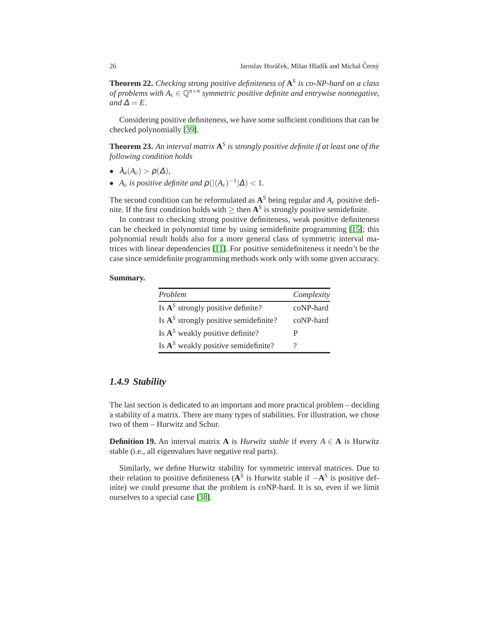**Theorem 22.** *Checking strong positive definiteness of* **A** *S is co-NP-hard on a class of problems with A<sup>c</sup>* <sup>∈</sup> <sup>Q</sup>*n*×*<sup>n</sup> symmetric positive definite and entrywise nonnegative, and*  $\Delta = E$ .

Considering positive definiteness, we have some sufficient conditions that can be checked polynomially [\[39\]](#page-29-21).

**Theorem 23.** *An interval matrix* **A** *S is strongly positive definite if at least one of the following condition holds*

- $\lambda_n(A_c) > \rho(\Delta)$ ,
- *A<sub>c</sub> is positive definite and*  $\rho(|(A_c)^{-1}|\Delta) < 1$ *.*

The second condition can be reformulated as  $\mathbf{A}^S$  being regular and  $A_c$  positive definite. If the first condition holds with  $\geq$  then  $A^S$  is strongly positive semidefinite.

In contrast to checking strong positive definiteness, weak positive definiteness can be checked in polynomial time by using semidefinite programming [\[15\]](#page-28-19); this polynomial result holds also for a more general class of symmetric interval matrices with linear dependencies [\[11\]](#page-28-21). For positive semidefiniteness it needn't be the case since semidefinite programming methods work only with some given accuracy.

### **Summary.**

| Problem                                 | Complexity |
|-----------------------------------------|------------|
| Is $AS$ strongly positive definite?     | coNP-hard  |
| Is $AS$ strongly positive semidefinite? | coNP-hard  |
| Is $A^S$ weakly positive definite?      | Р          |
| Is $AS$ weakly positive semidefinite?   |            |

# <span id="page-25-0"></span>*1.4.9 Stability*

The last section is dedicated to an important and more practical problem – deciding a stability of a matrix. There are many types of stabilities. For illustration, we chose two of them – Hurwitz and Schur.

**Definition 19.** An interval matrix **A** is *Hurwitz stable* if every  $A \in \mathbf{A}$  is Hurwitz stable (i.e., all eigenvalues have negative real parts).

Similarly, we define Hurwitz stability for symmetric interval matrices. Due to their relation to positive definiteness ( $A^S$  is Hurwitz stable if  $-A^S$  is positive definite) we could presume that the problem is coNP-hard. It is so, even if we limit ourselves to a special case [\[38\]](#page-29-20).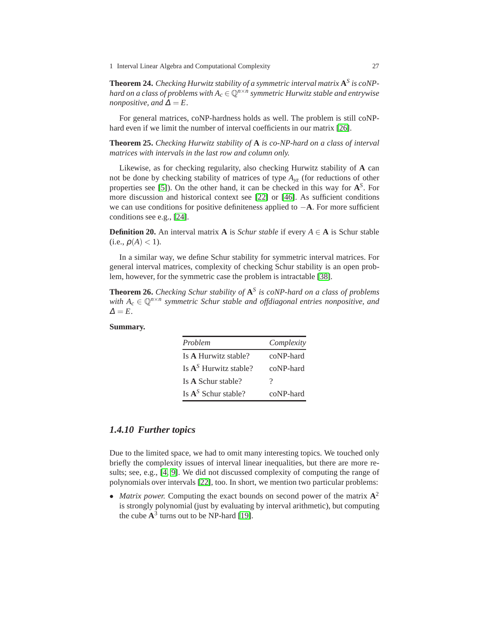**Theorem 24.** *Checking Hurwitz stability of a symmetric interval matrix* **A** *S is coNPhard on a class of problems with*  $A_c \in \mathbb{Q}^{n \times n}$  *symmetric Hurwitz stable and entrywise nonpositive, and*  $\Delta = E$ .

For general matrices, coNP-hardness holds as well. The problem is still coNP-hard even if we limit the number of interval coefficients in our matrix [\[26\]](#page-28-20).

**Theorem 25.** *Checking Hurwitz stability of* **A** *is co-NP-hard on a class of interval matrices with intervals in the last row and column only.*

Likewise, as for checking regularity, also checking Hurwitz stability of **A** can not be done by checking stability of matrices of type *Ayz* (for reductions of other properties see [\[5\]](#page-27-4)). On the other hand, it can be checked in this way for **A** *S* . For more discussion and historical context see [\[22\]](#page-28-0) or [\[46\]](#page-29-0). As sufficient conditions we can use conditions for positive definiteness applied to −**A**. For more sufficient conditions see e.g., [\[24\]](#page-28-22).

**Definition 20.** An interval matrix **A** is *Schur stable* if every  $A \in \mathbf{A}$  is *Schur stable* (i.e.,  $\rho(A) < 1$ ).

In a similar way, we define Schur stability for symmetric interval matrices. For general interval matrices, complexity of checking Schur stability is an open problem, however, for the symmetric case the problem is intractable [\[38\]](#page-29-20).

**Theorem 26.** *Checking Schur stability of* **A** *S is coNP-hard on a class of problems with*  $A_c \in \mathbb{Q}^{n \times n}$  symmetric Schur stable and offdiagonal entries nonpositive, and  $\Delta = E$ .

**Summary.**

| Problem                  | Complexity |
|--------------------------|------------|
| Is A Hurwitz stable?     | coNP-hard  |
| Is $A^S$ Hurwitz stable? | coNP-hard  |
| Is A Schur stable?       | ')         |
| Is $A^S$ Schur stable?   | coNP-hard  |

# <span id="page-26-0"></span>*1.4.10 Further topics*

Due to the limited space, we had to omit many interesting topics. We touched only briefly the complexity issues of interval linear inequalities, but there are more results; see, e.g., [\[4,](#page-27-0) [9\]](#page-28-23). We did not discussed complexity of computing the range of polynomials over intervals [\[22\]](#page-28-0), too. In short, we mention two particular problems:

• *Matrix power.* Computing the exact bounds on second power of the matrix **A** 2 is strongly polynomial (just by evaluating by interval arithmetic), but computing the cube  $A^3$  turns out to be NP-hard [\[19\]](#page-28-24).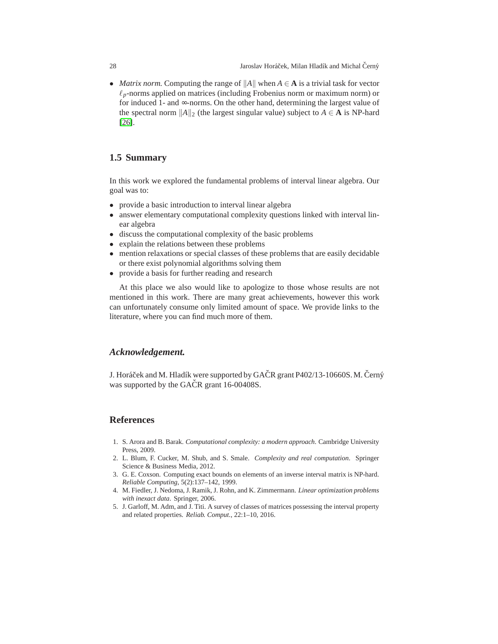• *Matrix norm.* Computing the range of  $||A||$  when  $A \in \mathbf{A}$  is a trivial task for vector  $\ell_p$ -norms applied on matrices (including Frobenius norm or maximum norm) or for induced 1- and ∞-norms. On the other hand, determining the largest value of the spectral norm  $||A||_2$  (the largest singular value) subject to  $A \in \mathbf{A}$  is NP-hard [\[26\]](#page-28-20).

# **1.5 Summary**

In this work we explored the fundamental problems of interval linear algebra. Our goal was to:

- provide a basic introduction to interval linear algebra
- answer elementary computational complexity questions linked with interval linear algebra
- discuss the computational complexity of the basic problems<br>• explain the relations between these problems
- explain the relations between these problems<br>• mention relaxations or special classes of these
- mention relaxations or special classes of these problems that are easily decidable or there exist polynomial algorithms solving them
- provide a basis for further reading and research

At this place we also would like to apologize to those whose results are not mentioned in this work. There are many great achievements, however this work can unfortunately consume only limited amount of space. We provide links to the literature, where you can find much more of them.

### *Acknowledgement.*

J. Horáček and M. Hladík were supported by GAČR grant P402/13-10660S. M. Černý was supported by the GACR grant  $16-00408S$ .

### **References**

- <span id="page-27-2"></span>1. S. Arora and B. Barak. *Computational complexity: a modern approach*. Cambridge University Press, 2009.
- <span id="page-27-1"></span>2. L. Blum, F. Cucker, M. Shub, and S. Smale. *Complexity and real computation*. Springer Science & Business Media, 2012.
- <span id="page-27-3"></span>3. G. E. Coxson. Computing exact bounds on elements of an inverse interval matrix is NP-hard. *Reliable Computing*, 5(2):137–142, 1999.
- <span id="page-27-0"></span>4. M. Fiedler, J. Nedoma, J. Ramik, J. Rohn, and K. Zimmermann. *Linear optimization problems with inexact data*. Springer, 2006.
- <span id="page-27-4"></span>5. J. Garloff, M. Adm, and J. Titi. A survey of classes of matrices possessing the interval property and related properties. *Reliab. Comput.*, 22:1–10, 2016.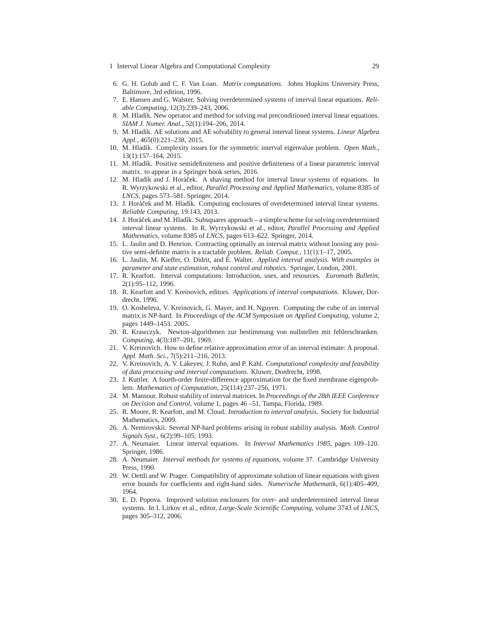- <span id="page-28-2"></span>1 Interval Linear Algebra and Computational Complexity 29
- <span id="page-28-14"></span>6. G. H. Golub and C. F. Van Loan. *Matrix computations*. Johns Hopkins University Press, Baltimore, 3rd edition, 1996.
- 7. E. Hansen and G. Walster. Solving overdetermined systems of interval linear equations. *Reliable Computing*, 12(3):239–243, 2006.
- <span id="page-28-23"></span><span id="page-28-11"></span>8. M. Hladík. New operator and method for solving real preconditioned interval linear equations. *SIAM J. Numer. Anal.*, 52(1):194–206, 2014.
- 9. M. Hlad´ık. AE solutions and AE solvability to general interval linear systems. *Linear Algebra Appl.*, 465(0):221–238, 2015.
- <span id="page-28-18"></span>10. M. Hlad´ık. Complexity issues for the symmetric interval eigenvalue problem. *Open Math.*, 13(1):157–164, 2015.
- <span id="page-28-21"></span>11. M. Hladík. Positive semidefiniteness and positive definiteness of a linear parametric interval matrix. to appear in a Springer book series, 2016.
- <span id="page-28-12"></span>12. M. Hladík and J. Horáček. A shaving method for interval linear systems of equations. In R. Wyrzykowski et al., editor, *Parallel Processing and Applied Mathematics*, volume 8385 of *LNCS*, pages 573–581. Springer, 2014.
- <span id="page-28-9"></span>13. J. Horáček and M. Hladík. Computing enclosures of overdetermined interval linear systems. *Reliable Computing*, 19:143, 2013.
- <span id="page-28-16"></span>14. J. Horáček and M. Hladík. Subsquares approach – a simple scheme for solving overdetermined interval linear systems. In R. Wyrzykowski et al., editor, *Parallel Processing and Applied Mathematics*, volume 8385 of *LNCS*, pages 613–622. Springer, 2014.
- <span id="page-28-19"></span>15. L. Jaulin and D. Henrion. Contracting optimally an interval matrix without loosing any positive semi-definite matrix is a tractable problem. *Reliab. Comput.*, 11(1):1–17, 2005.
- <span id="page-28-5"></span>16. L. Jaulin, M. Kieffer, O. Didrit, and E. Walter. ´ *Applied interval analysis. With examples in parameter and state estimation, robust control and robotics*. Springer, London, 2001.
- <span id="page-28-6"></span>17. R. Kearfott. Interval computations: Introduction, uses, and resources. *Euromath Bulletin*, 2(1):95–112, 1996.
- <span id="page-28-7"></span>18. R. Kearfott and V. Kreinovich, editors. *Applications of interval computations*. Kluwer, Dordrecht, 1996.
- <span id="page-28-24"></span>19. O. Kosheleva, V. Kreinovich, G. Mayer, and H. Nguyen. Computing the cube of an interval matrix is NP-hard. In *Proceedings of the ACM Symposium on Applied Computing*, volume 2, pages 1449–1453. 2005.
- <span id="page-28-13"></span>20. R. Krawczyk. Newton-algorithmen zur bestimmung von nullstellen mit fehlerschranken. *Computing*, 4(3):187–201, 1969.
- <span id="page-28-3"></span>21. V. Kreinovich. How to define relative approximation error of an interval estimate: A proposal. *Appl. Math. Sci.*, 7(5):211–216, 2013.
- <span id="page-28-0"></span>22. V. Kreinovich, A. V. Lakeyev, J. Rohn, and P. Kahl. *Computational complexity and feasibility of data processing and interval computations*. Kluwer, Dordrecht, 1998.
- <span id="page-28-17"></span>23. J. Kuttler. A fourth-order finite-difference approximation for the fixed membrane eigenproblem. *Mathematics of Computation*, 25(114):237–256, 1971.
- <span id="page-28-22"></span>24. M. Mansour. Robust stability of interval matrices. In *Proceedings of the 28th IEEE Conference on Decision and Control*, volume 1, pages 46 –51, Tampa, Florida, 1989.
- <span id="page-28-8"></span>25. R. Moore, R. Kearfott, and M. Cloud. *Introduction to interval analysis*. Society for Industrial Mathematics, 2009.
- <span id="page-28-20"></span>26. A. Nemirovskii. Several NP-hard problems arising in robust stability analysis. *Math. Control Signals Syst.*, 6(2):99–105, 1993.
- <span id="page-28-10"></span>27. A. Neumaier. Linear interval equations. In *Interval Mathematics 1985*, pages 109–120. Springer, 1986.
- <span id="page-28-1"></span>28. A. Neumaier. *Interval methods for systems of equations*, volume 37. Cambridge University Press, 1990.
- <span id="page-28-4"></span>29. W. Oettli and W. Prager. Compatibility of approximate solution of linear equations with given error bounds for coefficients and right-hand sides. *Numerische Mathematik*, 6(1):405–409, 1964.
- <span id="page-28-15"></span>30. E. D. Popova. Improved solution enclosures for over- and underdetermined interval linear systems. In I. Lirkov et al., editor, *Large-Scale Scientific Computing*, volume 3743 of *LNCS*, pages 305–312, 2006.